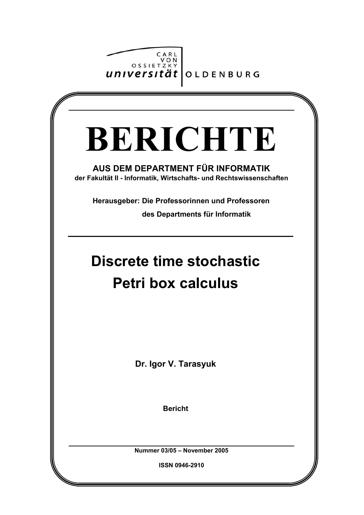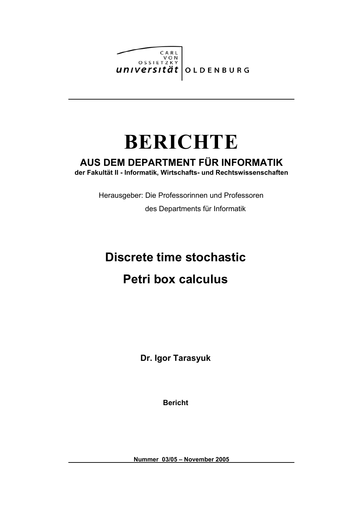

# **BERICHTE**

## **AUS DEM DEPARTMENT FÜR INFORMATIK**

**der Fakultät II - Informatik, Wirtschafts- und Rechtswissenschaften**

Herausgeber: Die Professorinnen und Professoren

des Departments für Informatik

## **Discrete time stochastic Petri box calculus**

**Dr. Igor Tarasyuk**

**Bericht**

**Nummer 03/05 – November 2005**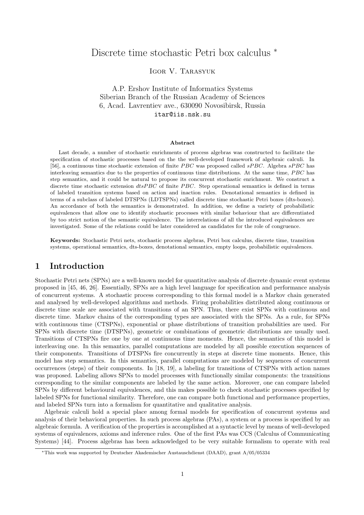## Discrete time stochastic Petri box calculus <sup>∗</sup>

Igor V. Tarasyuk

A.P. Ershov Institute of Informatics Systems Siberian Branch of the Russian Academy of Sciences 6, Acad. Lavrentiev ave., 630090 Novosibirsk, Russia itar@iis.nsk.su

#### Abstract

Last decade, a number of stochastic enrichments of process algebras was constructed to facilitate the specification of stochastic processes based on the the well-developed framework of algebraic calculi. In [56], a continuous time stochastic extension of finite *PBC* was proposed called  $sPBC$ . Algebra  $sPBC$  has interleaving semantics due to the properties of continuous time distributions. At the same time,  $PBC$  has step semantics, and it could be natural to propose its concurrent stochastic enrichment. We construct a discrete time stochastic extension  $dtsPBC$  of finite PBC. Step operational semantics is defined in terms of labeled transition systems based on action and inaction rules. Denotational semantics is defined in terms of a subclass of labeled DTSPNs (LDTSPNs) called discrete time stochastic Petri boxes (dts-boxes). An accordance of both the semantics is demonstrated. In addition, we define a variety of probabilistic equivalences that allow one to identify stochastic processes with similar behaviour that are differentiated by too strict notion of the semantic equivalence. The interrelations of all the introduced equivalences are investigated. Some of the relations could be later considered as candidates for the role of congruence.

Keywords: Stochastic Petri nets, stochastic process algebras, Petri box calculus, discrete time, transition systems, operational semantics, dts-boxes, denotational semantics, empty loops, probabilistic equivalences.

## 1 Introduction

Stochastic Petri nets (SPNs) are a well-known model for quantitative analysis of discrete dynamic event systems proposed in [45, 46, 26]. Essentially, SPNs are a high level language for specification and performance analysis of concurrent systems. A stochastic process corresponding to this formal model is a Markov chain generated and analysed by well-developed algorithms and methods. Firing probabilities distributed along continuous or discrete time scale are associated with transitions of an SPN. Thus, there exist SPNs with continuous and discrete time. Markov chains of the corresponding types are associated with the SPNs. As a rule, for SPNs with continuous time (CTSPNs), exponential or phase distributions of transition probabilities are used. For SPNs with discrete time (DTSPNs), geometric or combinations of geometric distributions are usually used. Transitions of CTSPNs fire one by one at continuous time moments. Hence, the semantics of this model is interleaving one. In this semantics, parallel computations are modeled by all possible execution sequences of their components. Transitions of DTSPNs fire concurrently in steps at discrete time moments. Hence, this model has step semantics. In this semantics, parallel computations are modeled by sequences of concurrent occurrences (steps) of their components. In [18, 19], a labeling for transitions of CTSPNs with action names was proposed. Labeling allows SPNs to model processes with functionally similar components: the transitions corresponding to the similar components are labeled by the same action. Moreover, one can compare labeled SPNs by different behavioural equivalences, and this makes possible to check stochastic processes specified by labeled SPNs for functional similarity. Therefore, one can compare both functional and performance properties, and labeled SPNs turn into a formalism for quantitative and qualitative analysis.

Algebraic calculi hold a special place among formal models for specification of concurrent systems and analysis of their behavioral properties. In such process algebras (PAs), a system or a process is specified by an algebraic formula. A verification of the properties is accomplished at a syntactic level by means of well-developed systems of equivalences, axioms and inference rules. One of the first PAs was CCS (Calculus of Communicating Systems) [44]. Process algebras has been acknowledged to be very suitable formalism to operate with real

<sup>∗</sup>This work was supported by Deutscher Akademischer Austauschdienst (DAAD), grant A/05/05334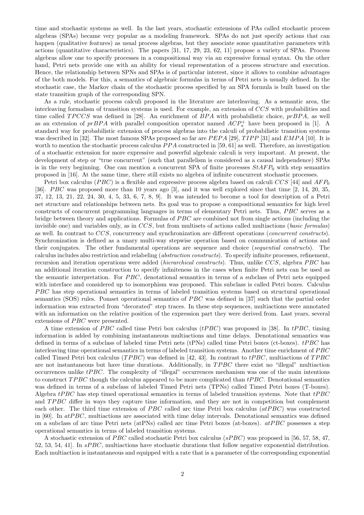time and stochastic systems as well. In the last years, stochastic extensions of PAs called stochastic process algebras (SPAs) became very popular as a modeling framework. SPAs do not just specify actions that can happen (qualitative features) as usual process algebras, but they associate some quantitative parameters with actions (quantitative characteristics). The papers [31, 17, 29, 23, 62, 11] propose a variety of SPAs. Process algebras allow one to specify processes in a compositional way via an expressive formal syntax. On the other hand, Petri nets provide one with an ability for visual representation of a process structure and execution. Hence, the relationship between SPNs and SPAs is of particular interest, since it allows to combine advantages of the both models. For this, a semantics of algebraic formulas in terms of Petri nets is usually defined. In the stochastic case, the Markov chain of the stochastic process specified by an SPA formula is built based on the state transition graph of the corresponding SPN.

As a rule, stochastic process calculi proposed in the literature are interleaving. As a semantic area, the interleaving formalism of transition systems is used. For example, an extension of CCS with probabilities and time called  $TPCCS$  was defined in [28]. An enrichment of  $BPA$  with probabilistic choice,  $prBPA$ , as well as an extension of  $prBPA$  with parallel composition operator named  $ACP_{\pi}^+$  have been proposed in [1]. A standard way for probabilistic extension of process algebras into the calculi of probabilistic transition systems was described in [32]. The most famous SPAs proposed so far are  $PEPA$  [29],  $TIPP$  [31] and  $EMPA$  [10]. It is worth to mention the stochastic process calculus  $PPA$  constructed in [59, 61] as well. Therefore, an investigation of a stochastic extension for more expressive and powerful algebraic calculi is very important. At present, the development of step or "true concurrent" (such that parallelism is considered as a causal independence) SPAs is in the very beginning. One can mention a concurrent SPA of finite processes  $StAFP_0$  with step semantics proposed in [16]. At the same time, there still exists no algebra of infinite concurrent stochastic processes.

Petri box calculus (PBC) is a flexible and expressive process algebra based on calculi CCS [44] and  $AFP_0$ [36]. P BC was proposed more than 10 years ago [3], and it was well explored since that time [2, 14, 20, 35, 37, 12, 13, 21, 22, 24, 30, 4, 5, 33, 6, 7, 8, 9]. It was intended to become a tool for description of a Petri net structure and relationships between nets. Its goal was to propose a compositional semantics for high level constructs of concurrent programming languages in terms of elementary Petri nets. Thus,  $PBC$  serves as a bridge between theory and applications. Formulas of  $PBC$  are combined not from single actions (including the invisible one) and variables only, as in CCS, but from multisets of actions called multiactions (basic formulas) as well. In contrast to CCS, concurrency and synchronization are different operations (concurrent constructs). Synchronization is defined as a unary multi-way stepwise operation based on communication of actions and their conjugates. The other fundamental operations are sequence and choice (sequential constructs). The calculus includes also restriction and relabeling (abstraction constructs). To specify infinite processes, refinement, recursion and iteration operations were added *(hierarchical constructs)*. Thus, unlike CCS, algebra PBC has an additional iteration construction to specify infiniteness in the cases when finite Petri nets can be used as the semantic interpretation. For  $PBC$ , denotational semantics in terms of a subclass of Petri nets equipped with interface and considered up to isomorphism was proposed. This subclass is called Petri boxes. Calculus PBC has step operational semantics in terms of labeled transition systems based on structural operational semantics (SOS) rules. Pomset operational semantics of  $PBC$  was defined in [37] such that the partial order information was extracted from "decorated" step traces. In these step sequences, multiactions were annotated with an information on the relative position of the expression part they were derived from. Last years, several extensions of  $PBC$  were presented.

A time extension of PBC called time Petri box calculus ( $tPBC$ ) was proposed in [38]. In  $tPBC$ , timing information is added by combining instantaneous multiactions and time delays. Denotational semantics was defined in terms of a subclass of labeled time Petri nets (tPNs) called time Petri boxes (ct-boxes).  $tPBC$  has interleaving time operational semantics in terms of labeled transition systems. Another time enrichment of PBC called Timed Petri box calculus ( $TPBC$ ) was defined in [42, 43]. In contrast to  $tPBC$ , multiactions of  $TPBC$ are not instantaneous but have time durations. Additionally, in TPBC there exist no "illegal" multiaction occurrences unlike  $tPBC$ . The complexity of "illegal" occurrences mechanism was one of the main intentions to construct  $TPBC$  though the calculus appeared to be more complicated than  $tPBC$ . Denotational semantics was defined in terms of a subclass of labeled Timed Petri nets (TPNs) called Timed Petri boxes (T-boxes). Algebra  $tPBC$  has step timed operational semantics in terms of labeled transition systems. Note that  $tPBC$ and TPBC differ in ways they capture time information, and they are not in competition but complement each other. The third time extension of  $PBC$  called arc time Petri box calculus  $(atPBC)$  was constructed in  $[60]$ . In  $atPBC$ , multiactions are associated with time delay intervals. Denotational semantics was defined on a subclass of arc time Petri nets (at PNs) called arc time Petri boxes (at-boxes).  $at PBC$  possesses a step operational semantics in terms of labeled transition systems.

A stochastic extension of *PBC* called stochastic Petri box calculus ( $sPBC$ ) was proposed in [56, 57, 58, 47, 52, 53, 54, 41]. In  $sPBC$ , multiactions have stochastic durations that follow negative exponential distribution. Each multiaction is instantaneous and equipped with a rate that is a parameter of the corresponding exponential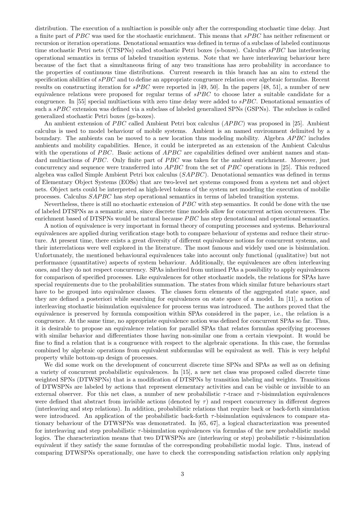distribution. The execution of a multiaction is possible only after the corresponding stochastic time delay. Just a finite part of  $PBC$  was used for the stochastic enrichment. This means that  $sPBC$  has neither refinement or recursion or iteration operations. Denotational semantics was defined in terms of a subclass of labeled continuous time stochastic Petri nets (CTSPNs) called stochastic Petri boxes (s-boxes). Calculus sPBC has interleaving operational semantics in terms of labeled transition systems. Note that we have interleaving behaviour here because of the fact that a simultaneous firing of any two transitions has zero probability in accordance to the properties of continuous time distributions. Current research in this branch has an aim to extend the specification abilities of  $sPBC$  and to define an appropriate congruence relation over algebraic formulas. Recent results on constructing iteration for  $sPBC$  were reported in [49, 50]. In the papers [48, 51], a number of new equivalence relations were proposed for regular terms of  $sPBC$  to choose later a suitable candidate for a congruence. In [55] special multiactions with zero time delay were added to  $sPBC$ . Denotational semantics of such a sPBC extension was defined via a subclass of labeled generalized SPNs (GSPNs). The subclass is called generalized stochastic Petri boxes (gs-boxes).

An ambient extension of  $PBC$  called Ambient Petri box calculus  $(APBC)$  was proposed in [25]. Ambient calculus is used to model behaviour of mobile systems. Ambient is an named environment delimited by a boundary. The ambients can be moved to a new location thus modeling mobility. Algebra *APBC* includes ambients and mobility capabilities. Hence, it could be interpreted as an extension of the Ambient Calculus with the operations of  $PBC$ . Basic actions of  $APBC$  are capabilities defined over ambient names and standard multiactions of  $PBC$ . Only finite part of  $PBC$  was taken for the ambient enrichment. Moreover, just concurrency and sequence were transferred into  $APBC$  from the set of  $PBC$  operations in [25]. This reduced algebra was called Simple Ambient Petri box calculus (SAPBC). Denotational semantics was defined in terms of Elementary Object Systems (EOSs) that are two-level net systems composed from a system net and object nets. Object nets could be interpreted as high-level tokens of the system net modeling the execution of mobilie processes. Calculus *SAPBC* has step operational semantics in terms of labeled transition systems.

Nevertheless, there is still no stochastic extension of PBC with step semantics. It could be done with the use of labeled DTSPNs as a semantic area, since discrete time models allow for concurrent action occurrences. The enrichment based of DTSPNs would be natural because *PBC* has step denotational and operational semantics.

A notion of equivalence is very important in formal theory of computing processes and systems. Behavioural equivalences are applied during verification stage both to compare behaviour of systems and reduce their structure. At present time, there exists a great diversity of different equivalence notions for concurrent systems, and their interrelations were well explored in the literature. The most famous and widely used one is bisimulation. Unfortunately, the mentioned behavioural equivalences take into account only functional (qualitative) but not performance (quantitative) aspects of system behaviour. Additionally, the equivalences are often interleaving ones, and they do not respect concurrency. SPAs inherited from untimed PAs a possibility to apply equivalences for comparison of specified processes. Like equivalences for other stochastic models, the relations for SPAs have special requirements due to the probabilities summation. The states from which similar future behaviours start have to be grouped into equivalence classes. The classes form elements of the aggregated state space, and they are defined a posteriori while searching for equivalences on state space of a model. In [11], a notion of interleaving stochastic bisimulation equivalence for process terms was introduced. The authors proved that the equivalence is preserved by formula composition within SPAs considered in the paper, i.e., the relation is a congruence. At the same time, no appropriate equivalence notion was defined for concurrent SPAs so far. Thus, it is desirable to propose an equivalence relation for parallel SPAs that relates formulas specifying processes with similar behavior and differentiates those having non-similar one from a certain viewpoint. It would be fine to find a relation that is a congruence with respect to the algebraic operations. In this case, the formulas combined by algebraic operations from equivalent subformulas will be equivalent as well. This is very helpful property while bottom-up design of processes.

We did some work on the development of concurrent discrete time SPNs and SPAs as well as on defining a variety of concurrent probabilistic equivalences. In [15], a new net class was proposed called discrete time weighted SPNs (DTWSPNs) that is a modification of DTSPNs by transition labeling and weights. Transitions of DTWSPNs are labeled by actions that represent elementary activities and can be visible or invisible to an external observer. For this net class, a number of new probabilistic  $\tau$ -trace and  $\tau$ -bisimulation equivalences were defined that abstract from invisible actions (denoted by  $\tau$ ) and respect concurrency in different degrees (interleaving and step relations). In addition, probabilistic relations that require back or back-forth simulation were introduced. An application of the probabilistic back-forth  $\tau$ -bisimulation equivalences to compare stationary behaviour of the DTWSPNs was demonstrated. In [65, 67], a logical characterization was presented for interleaving and step probabilistic  $\tau$ -bisimulation equivalences via formulas of the new probabilistic modal logics. The characterization means that two DTWSPNs are (interleaving or step) probabilistic  $\tau$ -bisimulation equivalent if they satisfy the same formulas of the corresponding probabilistic modal logic. Thus, instead of comparing DTWSPNs operationally, one have to check the corresponding satisfaction relation only applying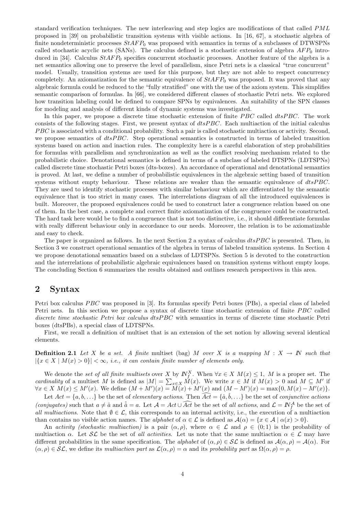standard verification techniques. The new interleaving and step logics are modifications of that called PML proposed in [39] on probabilistic transition systems with visible actions. In [16, 67], a stochastic algebra of finite nondeterministic processes  $StAFP_0$  was proposed with semantics in terms of a subclasses of DTWSPNs called stochastic acyclic nets (SANs). The calculus defined is a stochastic extension of algebra  $AFP_0$  introduced in [34]. Calculus  $StAFP_0$  specifies concurrent stochastic processes. Another feature of the algebra is a net semantics allowing one to preserve the level of parallelism, since Petri nets is a classical "true concurrent" model. Usually, transition systems are used for this purpose, but they are not able to respect concurrency completely. An axiomatization for the semantic equivalence of  $StAFP_0$  was proposed. It was proved that any algebraic formula could be reduced to the "fully stratified" one with the use of the axiom system. This simplifies semantic comparison of formulas. In [66], we considered different classes of stochastic Petri nets. We explored how transition labeling could be defined to compare SPNs by equivalences. An suitability of the SPN classes for modeling and analysis of different kinds of dynamic systems was investigated.

In this paper, we propose a discrete time stochastic extension of finite  $PBC$  called  $dtsPBC$ . The work consists of the following stages. First, we present syntax of  $dtsPBC$ . Each multiaction of the initial calculus PBC is associated with a conditional probability. Such a pair is called stochastic multiaction or activity. Second, we propose semantics of  $dtsPBC$ . Step operational semantics is constructed in terms of labeled transition systems based on action and inaction rules. The complexity here is a careful elaboration of step probabilities for formulas with parallelism and synchronization as well as the conflict resolving mechanism related to the probabilistic choice. Denotational semantics is defined in terms of a subclass of labeled DTSPNs (LDTSPNs) called discrete time stochastic Petri boxes (dts-boxes). An accordance of operational and denotational semantics is proved. At last, we define a number of probabilistic equivalences in the algebraic setting based of transition systems without empty behaviour. These relations are weaker than the semantic equivalence of  $dtsPBC$ . They are used to identify stochastic processes with similar behaviour which are differentiated by the semantic equivalence that is too strict in many cases. The interrelations diagram of all the introduced equivalences is built. Moreover, the proposed equivalences could be used to construct later a congruence relation based on one of them. In the best case, a complete and correct finite axiomatization of the congruence could be constructed. The hard task here would be to find a congruence that is not too distinctive, i.e., it should differentiate formulas with really different behaviour only in accordance to our needs. Moreover, the relation is to be axiomatizable and easy to check.

The paper is organized as follows. In the next Section 2 a syntax of calculus  $dtsPBC$  is presented. Then, in Section 3 we construct operational semantics of the algebra in terms of labeled transition systems. In Section 4 we propose denotational semantics based on a subclass of LDTSPNs. Section 5 is devoted to the construction and the interrelations of probabilistic algebraic equivalences based on transition systems without empty loops. The concluding Section 6 summarizes the results obtained and outlines research perspectives in this area.

#### 2 Syntax

Petri box calculus PBC was proposed in [3]. Its formulas specify Petri boxes (PBs), a special class of labeled Petri nets. In this section we propose a syntax of discrete time stochastic extension of finite PBC called discrete time stochastic Petri box calculus dtsPBC with semantics in terms of discrete time stochastic Petri boxes (dtsPBs), a special class of LDTSPNs.

First, we recall a definition of multiset that is an extension of the set notion by allowing several identical elements.

**Definition 2.1** Let X be a set. A finite multiset (bag) M over X is a mapping  $M : X \to \mathbb{N}$  such that  $|\{x \in X \mid M(x) > 0\}| < \infty$ , i.e., it can contain finite number of elements only.

We denote the set of all finite multisets over X by  $N_f^X$ . When  $\forall x \in X \ M(x) \leq 1$ , M is a proper set. The we denote the set of an intime multisets over  $X$  by  $\mathbb{F}_f$ . When  $\forall x \in X$   $M(x) \le 1$ ,  $M$  is a proper set. The cardinality of a multiset M is defined as  $|M| = \sum_{x \in X} M(x)$ . We write  $x \in M$  if  $M(x) > 0$  and  $M \subseteq M'$  if  $\forall x \in X \ M(x) \leq M'(x)$ . We define  $(M + M')(x) = M'(x) + M'(x)$  and  $(M - M')(x) = \max\{0, M(x) - M'(x)\}.$ 

Let  $Act = \{a, b, ...\}$  be the set of *elementary actions*. Then  $\widehat{Act} = \{\hat{a}, \hat{b}, ...\}$  be the set of *conjunctive actions* (conjugates) such that  $a \neq \hat{a}$  and  $\hat{a} = a$ . Let  $\mathcal{A} = Act \cup \widehat{Act}$  be the set of all actions, and  $\mathcal{L} = \mathbb{N}_f^{\mathcal{A}}$  be the set of all multiactions. Note that  $\emptyset \in \mathcal{L}$ , this corresponds to an internal activity, i.e., the execution of a multiaction than contains no visible action names. The *alphabet* of  $\alpha \in \mathcal{L}$  is defined as  $\mathcal{A}(\alpha) = \{x \in \mathcal{A} \mid \alpha(x) > 0\}.$ 

An activity (stochastic multiaction) is a pair  $(\alpha, \rho)$ , where  $\alpha \in \mathcal{L}$  and  $\rho \in (0, 1)$  is the probability of multiaction  $\alpha$ . Let  $\mathcal{SL}$  be the set of all activities. Let us note that the same multiaction  $\alpha \in \mathcal{L}$  may have different probabilities in the same specification. The alphabet of  $(\alpha, \rho) \in \mathcal{SL}$  is defined as  $\mathcal{A}(\alpha, \rho) = \mathcal{A}(\alpha)$ . For  $(\alpha, \rho) \in \mathcal{SL}$ , we define its multiaction part as  $\mathcal{L}(\alpha, \rho) = \alpha$  and its probability part as  $\Omega(\alpha, \rho) = \rho$ .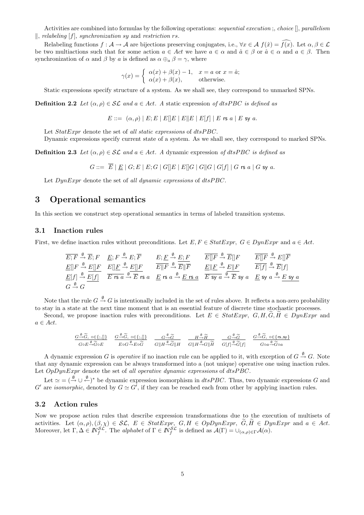Activities are combined into formulas by the following operations: sequential execution; choice  $[]$ , parallelism  $\parallel$ , relabeling  $[f]$ , synchronization sy and restriction rs.

Relabeling functions  $f : \mathcal{A} \to \mathcal{A}$  are bijections preserving conjugates, i.e.,  $\forall x \in \mathcal{A}$   $f(\hat{x}) = \overline{f(x)}$ . Let  $\alpha, \beta \in \mathcal{L}$ be two multiactions such that for some action  $a \in Act$  we have  $a \in \alpha$  and  $\hat{a} \in \beta$  or  $\hat{a} \in \alpha$  and  $a \in \beta$ . Then synchronization of  $\alpha$  and  $\beta$  by a is defined as  $\alpha \oplus_{\alpha} \beta = \gamma$ , where

$$
\gamma(x) = \begin{cases} \alpha(x) + \beta(x) - 1, & x = a \text{ or } x = \hat{a}; \\ \alpha(x) + \beta(x), & \text{otherwise.} \end{cases}
$$

Static expressions specify structure of a system. As we shall see, they correspond to unmarked SPNs.

**Definition 2.2** Let  $(\alpha, \rho) \in \mathcal{SL}$  and  $a \in Act$ . A static expression of dtsPBC is defined as

$$
E ::= (\alpha, \rho) | E; E | E | E | E | E | E | E | f | E \text{ is a } E \text{ s y a}.
$$

Let  $StatError$  denote the set of all static expressions of  $dtsPBC$ .

Dynamic expressions specify current state of a system. As we shall see, they correspond to marked SPNs.

**Definition 2.3** Let  $(\alpha, \rho) \in \mathcal{SL}$  and  $a \in Act$ . A dynamic expression of dtsPBC is defined as

$$
G ::= \overline{E} | \underline{E} | G; E | E; G | G | E | E | G | G | G | G | G | f | G \text{ is a } | G \text{ sy } a.
$$

Let  $DynExpr$  denote the set of all dynamic expressions of  $dtsPBC$ .

## 3 Operational semantics

In this section we construct step operational semantics in terms of labeled transition systems.

#### 3.1 Inaction rules

First, we define inaction rules without preconditions. Let  $E, F \in Statexpr$ ,  $G \in DynExpr$  and  $a \in Act$ .

| $\overline{E}; \overline{F} \xrightarrow{\emptyset} \overline{E}; F$ | $\underline{E}; F \xrightarrow{\emptyset} E; \overline{F}$ | $\underline{E}; \underline{F} \xrightarrow{\emptyset} \underline{E}; F$ | $\overline{E} \parallel \overline{F} \xrightarrow{\emptyset} \overline{E} \parallel F$ | $\overline{E} \parallel \overline{F} \xrightarrow{\emptyset} \overline{E} \parallel F$ | $\overline{E} \parallel \overline{F} \xrightarrow{\emptyset} \overline{E} \parallel F$ | $\overline{E} \parallel \overline{F} \xrightarrow{\emptyset} \overline{E} \parallel F$ | $\overline{E} \parallel \overline{F} \xrightarrow{\emptyset} \overline{E} \parallel F$ | $\overline{E} \parallel \overline{F} \xrightarrow{\emptyset} \overline{E} \parallel F$ | $\overline{E} \parallel \overline{F} \xrightarrow{\emptyset} \overline{E} \parallel F$ | $\overline{E} \parallel \overline{F} \xrightarrow{\emptyset} \overline{E} \parallel F$ | $\overline{E} \parallel \overline{F} \xrightarrow{\emptyset} \overline{E} \parallel F$ | $\overline{E} \parallel \overline{F} \xrightarrow{\emptyset} \overline{E} \parallel \overline{F}$ | $\overline{E} \parallel \overline{F} \xrightarrow{\emptyset} \overline{E} \parallel F$ | $\overline{E} \parallel \overline{F} \xrightarrow{\emptyset} \overline{E} \parallel F$ | $\overline{E} \parallel \overline{F} \xrightarrow{\emptyset} \overline{E} \parallel F$ | $\overline{E} \parallel \overline{F} \xrightarrow{\emptyset} \overline{E} \parallel F$ | $\overline{E} \parallel \overline{F} \xrightarrow{\emptyset} \overline{E} \parallel F$ | $\overline{E} \parallel \overline{F} \xrightarrow{\emptyset} \overline{E} \parallel F$ | $\overline{E} \parallel \overline{F} \xrightarrow{\emptyset} \overline{E} \parallel$ |
|----------------------------------------------------------------------|------------------------------------------------------------|-------------------------------------------------------------------------|----------------------------------------------------------------------------------------|----------------------------------------------------------------------------------------|----------------------------------------------------------------------------------------|----------------------------------------------------------------------------------------|----------------------------------------------------------------------------------------|----------------------------------------------------------------------------------------|----------------------------------------------------------------------------------------|----------------------------------------------------------------------------------------|----------------------------------------------------------------------------------------|---------------------------------------------------------------------------------------------------|----------------------------------------------------------------------------------------|----------------------------------------------------------------------------------------|----------------------------------------------------------------------------------------|----------------------------------------------------------------------------------------|----------------------------------------------------------------------------------------|----------------------------------------------------------------------------------------|--------------------------------------------------------------------------------------|
|----------------------------------------------------------------------|------------------------------------------------------------|-------------------------------------------------------------------------|----------------------------------------------------------------------------------------|----------------------------------------------------------------------------------------|----------------------------------------------------------------------------------------|----------------------------------------------------------------------------------------|----------------------------------------------------------------------------------------|----------------------------------------------------------------------------------------|----------------------------------------------------------------------------------------|----------------------------------------------------------------------------------------|----------------------------------------------------------------------------------------|---------------------------------------------------------------------------------------------------|----------------------------------------------------------------------------------------|----------------------------------------------------------------------------------------|----------------------------------------------------------------------------------------|----------------------------------------------------------------------------------------|----------------------------------------------------------------------------------------|----------------------------------------------------------------------------------------|--------------------------------------------------------------------------------------|

Note that the rule  $G \stackrel{\emptyset}{\to} G$  is intentionally included in the set of rules above. It reflects a non-zero probability to stay in a state at the next time moment that is an essential feature of discrete time stochastic processes.

Second, we propose inaction rules with preconditions. Let  $E \in StatExpr$ ,  $G, H, \tilde{G}, \tilde{H} \in DynExpr$  and  $a \in Act.$ 

$$
\begin{array}{cccccc} \underline{G\overset{\emptyset}{\rightarrow}\widetilde{G},\;\mathbin{\circ}\in\{;,\parallel\}} & \underline{G\overset{\emptyset}{\rightarrow}\widetilde{G},\;\mathbin{\circ}\in\{;,\parallel\}} & \underline{G\overset{\emptyset}{\rightarrow}\widetilde{G},\;\mathbin{\circ}\in\{;,\parallel\}} & \underline{G\overset{\emptyset}{\rightarrow}\widetilde{G}} & \underline{H\overset{\emptyset}{\rightarrow}\widetilde{H}} & \underline{H\overset{\emptyset}{\rightarrow}\widetilde{H}} & \underline{G\overset{\emptyset}{\rightarrow}\widetilde{G}} & \underline{G\overset{\emptyset}{\rightarrow}\widetilde{G},\;\mathbin{\circ}\in\{rs,sy\}} \\ \hline \underline{G\circ E\overset{\emptyset}{\rightarrow}\widetilde{G}\circ E} & \underline{E\circ G\overset{\emptyset}{\rightarrow}\widetilde{E}\circ\widetilde{G}} & \underline{G\|\overline{H\overset{\emptyset}{\rightarrow}\widetilde{G}\|\overline{H}} & \underline{G\|\overline{H\overset{\emptyset}{\rightarrow}\widetilde{G}}\|\widetilde{H}} & \underline{G\overset{\emptyset}{\rightarrow}\widetilde{G}}\widetilde{G}[\overline{f}] & \underline{G\circ a\overset{\emptyset}{\rightarrow}\widetilde{G}\circ a} \end{array}
$$

A dynamic expression G is *operative* if no inaction rule can be applied to it, with exception of  $G \stackrel{\emptyset}{\rightarrow} G$ . Note that any dynamic expression can be always transformed into a (not unique) operative one using inaction rules. Let  $OpDynExpr$  denote the set of all operative dynamic expressions of  $dtsPBC$ .

Let  $\simeq$   $(\overset{\emptyset}{\rightarrow} \cup \overset{\emptyset}{\leftarrow})^*$  be dynamic expression isomorphism in *dtsPBC*. Thus, two dynamic expressions G and G' are *isomorphic*, denoted by  $G \simeq G'$ , if they can be reached each from other by applying inaction rules.

#### 3.2 Action rules

Now we propose action rules that describe expression transformations due to the execution of multisets of activities. Let  $(\alpha, \rho), (\beta, \chi) \in \mathcal{SL}, E \in \text{Statexpr}, G, H \in OppbynExpr, \widetilde{G}, \widetilde{H} \in DynExpr$  and  $a \in Act$ . Moreover, let  $\Gamma, \Delta \in \mathbb{N}_{f}^{\mathcal{SL}}$ . The alphabet of  $\Gamma \in \mathbb{N}_{f}^{\mathcal{SL}}$  is defined as  $\mathcal{A}(\Gamma) = \cup_{(\alpha,\rho) \in \Gamma} \mathcal{A}(\alpha)$ .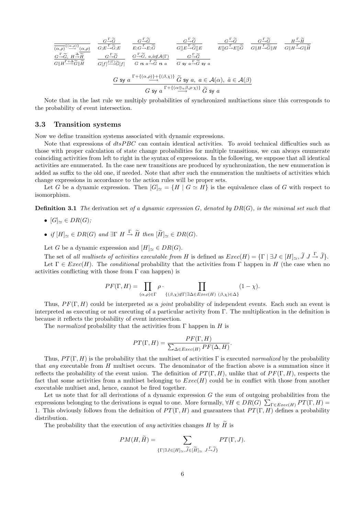$$
\frac{G^{\frac{\Gamma}{\Theta}}(\alpha,\rho)^{\{(\alpha,\rho)\}}(\alpha,\rho)}{G^{\frac{\Gamma}{\Theta}}(\beta+\alpha^2)} \frac{G^{\frac{\Gamma}{\Theta}}G}{G^{\frac{\Gamma}{\Theta}}(\beta+\alpha^2G)} \frac{G^{\frac{\Gamma}{\Theta}}G}{E^{\{G\}}E^{\frac{\Gamma}{\Theta}}G^{\{G\}}} \frac{G^{\frac{\Gamma}{\Theta}}G}{G^{\{[E^{\frac{\Gamma}{\Theta}}G^{\{I\}}]E}}} \frac{G^{\frac{\Gamma}{\Theta}}G}{E^{\{[G^{\frac{\Gamma}{\Theta}}E\}}G}} \frac{G^{\frac{\Gamma}{\Theta}}G}{G^{\{[H^{\frac{\Gamma}{\Theta}}G^{\{I\}}]H}} \frac{G^{\frac{\Gamma}{\Theta}}G}{G^{\{[H^{\frac{\Gamma}{\Theta}}G^{\{I\}}]H}}}{G^{\{[H^{\frac{\Gamma}{\Theta}}G^{\{I\}}]H}}} \frac{G^{\frac{\Gamma}{\Theta}}G}{G^{\{[H^{\frac{\Gamma}{\Theta}}G^{\{I\}}]H}}} \frac{G^{\frac{\Gamma}{\Theta}}G}{G^{\{I\}}G^{\{I\}}G^{\{I\}}} \frac{G^{\frac{\Gamma}{\Theta}}G}{G^{\{I\}}G^{\{I\}}G^{\{I\}}G}} \frac{G^{\frac{\Gamma}{\Theta}}G}{G^{\{I\}}G^{\{I\}}G^{\{I\}}G}} \frac{G^{\frac{\Gamma}{\Theta}}G}{G^{\{I\}}G^{\{I\}}G^{\{I\}}G}} \frac{G^{\frac{\Gamma}{\Theta}}G}{G^{\{I\}}G^{\{I\}}G^{\{I\}}G}}}{G^{\{I\}}G^{\{I\}}G^{\{I\}}G^{\{I\}}G^{\{I\}}G^{\{I\}}G}} \frac{G^{\frac{\Gamma}{\Theta}}G}{G^{\{I\}}G^{\{I\}}G^{\{I\}}G}} \frac{G^{\frac{\Gamma}{\Theta}}G}{G^{\{I\}}G^{\{I\}}G^{\{I\}}G^{\{I\}}G}} \frac{G^{\frac{\Gamma}{\Theta}}G}{G^{\{I\}}G^{\{I\}}G^{\{I\}}G^{\{I\}}G^{\{I\}}G^{\{I\}}G^{\{I\}}G^{\{I\}}G^{\{I\}}G^{\{I\}}G^{\{I\}}G^{\{I\}}G^{\
$$

Note that in the last rule we multiply probabilities of synchronized multiactions since this corresponds to the probability of event intersection.

#### 3.3 Transition systems

Now we define transition systems associated with dynamic expressions.

Note that expressions of  $dtsPBC$  can contain identical activities. To avoid technical difficulties such as those with proper calculation of state change probabilities for multiple transitions, we can always enumerate coinciding activities from left to right in the syntax of expressions. In the following, we suppose that all identical activities are enumerated. In the case new transitions are produced by synchronization, the new enumeration is added as suffix to the old one, if needed. Note that after such the enumeration the multisets of activities which change expressions in accordance to the action rules will be proper sets.

Let G be a dynamic expression. Then  $[G]_{\simeq} = \{H \mid G \simeq H\}$  is the equivalence class of G with respect to isomorphism.

**Definition 3.1** The derivation set of a dynamic expression  $G$ , denoted by  $DR(G)$ , is the minimal set such that

- $[G]_{\cong} \in DR(G);$
- if  $[H]_{\simeq} \in DR(G)$  and  $\exists \Gamma \ H \stackrel{\Gamma}{\to} \widetilde{H}$  then  $[\widetilde{H}]_{\simeq} \in DR(G)$ .

Let G be a dynamic expression and  $[H]_{\simeq} \in DR(G)$ .

The set of all multisets of activities executable from H is defined as  $Exec(H) = \{\Gamma \mid \exists J \in [H]_{\simeq}, \widetilde{J} \cup \cdots \widetilde{J}\}.$ Let  $\Gamma \in Excel(H)$ . The conditional probability that the activities from  $\Gamma$  happen in H (the case when no activities conflicting with those from  $\Gamma$  can happen) is

$$
PF(\Gamma, H) = \prod_{(\alpha,\rho)\in\Gamma} \rho \cdot \prod_{\{(\beta,\chi)\notin\Gamma|\exists\Delta\in\text{Exec}(H) \ (\beta,\chi)\in\Delta\}} (1-\chi).
$$

Thus,  $PF(\Gamma, H)$  could be interpreted as a *joint* probability of independent events. Each such an event is interpreted as executing or not executing of a particular activity from Γ. The multiplication in the definition is because it reflects the probability of event intersection.

The *normalized* probability that the activities from  $\Gamma$  happen in H is

$$
PT(\Gamma, H) = \frac{PF(\Gamma, H)}{\sum_{\Delta \in E \text{vec}(H)} PF(\Delta, H)}.
$$

Thus,  $PT(\Gamma, H)$  is the probability that the multiset of activities Γ is executed normalized by the probability that any executable from  $H$  multiset occurs. The denominator of the fraction above is a summation since it reflects the probability of the event union. The definition of  $PT(\Gamma, H)$ , unlike that of  $PF(\Gamma, H)$ , respects the fact that some activities from a multiset belonging to  $Exec(H)$  could be in conflict with those from another executable multiset and, hence, cannot be fired together.

Let us note that for all derivations of a dynamic expression  $G$  the sum of outgoing probabilities from the Let us note that for an derivations of a dynamic expression G the sum of outgoing probabilities from the expressions belonging to the derivations is equal to one. More formally,  $\forall H \in DR(G)$   $\sum_{\Gamma \in Excel(H)} PT(\Gamma, H)$ 1. This obviously follows from the definition of  $PT(\Gamma, H)$  and guarantees that  $PT(\Gamma, H)$  defines a probability distribution.

The probability that the execution of *any* activities changes H by  $\widetilde{H}$  is

$$
PM(H, \widetilde{H}) = \sum_{\{\Gamma \mid \exists J \in [H]_{\simeq}, \widetilde{J} \in [\widetilde{H}]_{\simeq}} \ J^{\Gamma, \widetilde{J}}_{\to} \widetilde{J} \}} PT(\Gamma, J).
$$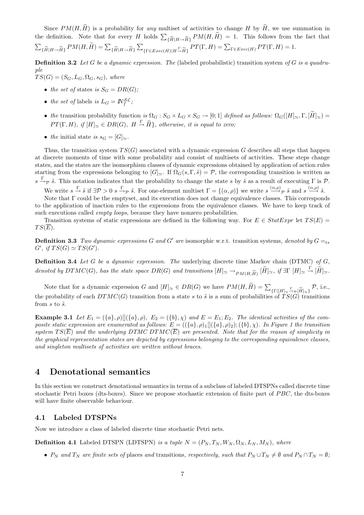Since  $PM(H, \widetilde{H})$  is a probability for any multiset of activities to change H by  $\widetilde{H}$ , we use summation in the definition. Note that for every H holds  $\sum_{\{\widetilde{H}|H\to\widetilde{H}\}}PM(H,\widetilde{H}) = 1$ . This follows from the fact that  $\overline{ }$  $\{\widetilde{H}|H\rightarrow\widetilde{H}\}$   $PM(H,\widetilde{H})=\sum_{\{\widetilde{H}|H\rightarrow\widetilde{H}\}}$  $\overline{ }$  $\sum_{\{\Gamma \in E \text{vec}(H) | H \to H\}} PT(\Gamma, H) = \sum_{\Gamma \in E \text{vec}(H)} PT(\Gamma, H) = 1.$ 

**Definition 3.2** Let G be a dynamic expression. The (labeled probabilistic) transition system of G is a quadruple

- $TS(G) = (S_G, L_G, \Omega_G, s_G)$ , where
	- the set of states is  $S_G = DR(G)$ ;
	- the set of labels is  $L_G = N_f^{\mathcal{SL}}$ ;
	- the transition probability function is  $\Omega_G : S_G \times L_G \times S_G \to [0,1]$  defined as follows:  $\Omega_G([H]_{\simeq}, \Gamma, [\widetilde{H}]_{\simeq}) =$  $PT(\Gamma, H)$ , if  $[H]_{\sim} \in DR(G)$ ,  $H \stackrel{\Gamma}{\rightarrow} \widetilde{H}$ , otherwise, it is equal to zero;
	- the initial state is  $s_G = [G]_{\simeq}$ .

Thus, the transition system  $TS(G)$  associated with a dynamic expression G describes all steps that happen at discrete moments of time with some probability and consist of multisets of activities. These steps change states, and the states are the isomorphism classes of dynamic expressions obtained by application of action rules starting from the expressions belonging to  $[G]_{\simeq}$ . If  $\Omega_G(s, \Gamma, \tilde{s}) = \mathcal{P}$ , the corresponding transition is written as  $s \stackrel{\Gamma}{\rightarrow} p \tilde{s}$ . This notation indicates that the probability to change the state s by  $\tilde{s}$  as a result of executing  $\Gamma$  is  $\mathcal{P}$ .

We write  $s \xrightarrow{\Gamma} \tilde{s}$  if  $\exists \mathcal{P} > 0$   $s \xrightarrow{\Gamma} \tilde{\rho}$   $\tilde{s}$ . For one-element multiset  $\Gamma = \{(\alpha, \rho)\}\$ we write  $s \xrightarrow{(\alpha, \rho)} \tilde{\rho}$   $\tilde{s}$  and  $s \xrightarrow{(\alpha, \rho)} \tilde{s}$ .

Note that Γ could be the emptyset, and its execution does not change equivalence classes. This corresponds to the application of inaction rules to the expressions from the equivalence classes. We have to keep track of such executions called *empty loops*, because they have nonzero probabilities.

Transition systems of static expressions are defined in the following way. For  $E \in StatExpr$  let  $TS(E)$  =  $TS(E).$ 

**Definition 3.3** Two dynamic expressions G and G' are isomorphic w.r.t. transition systems, denoted by  $G =_{ts}$  $G', \text{ if } TS(G) \simeq TS(G').$ 

**Definition 3.4** Let G be a dynamic expression. The underlying discrete time Markov chain (DTMC) of G, denoted by  $DTMC(G)$ , has the state space  $DR(G)$  and transitions  $[H]_{\simeq} \to_{PM(H, \widetilde{H})} [\widetilde{H}]_{\simeq}$ , if  $\exists \Gamma[H]_{\simeq} \stackrel{\Gamma}{\to} [\widetilde{H}]_{\simeq}$ .

Note that for a dynamic expression G and  $[H]_{\simeq} \in DR(G)$  we have  $PM(H, \widetilde{H}) = \sum_{\{\Gamma | [H]_{\simeq}} \xrightarrow{\Gamma} \rho[\widetilde{H}]_{\simeq\}} \mathcal{P}$ , i.e., the probability of each  $DTMC(G)$  transition from a state s to  $\tilde{s}$  is a sum of probabilities of  $TS(G)$  transitions from  $s$  to  $\tilde{s}$ .

**Example 3.1** Let  $E_1 = (\{a\}, \rho)$   $[ (\{a\}, \rho), E_2 = (\{b\}, \chi)$  and  $E = E_1; E_2$ . The identical activities of the composite static expression are enumerated as follows:  $E = (({a},\rho)_1 || ({a},\rho)_2); ({b},\chi)$ . In Figure 1 the transition system  $TS(\overline{E})$  and the underlying DTMC DTMC( $\overline{E}$ ) are presented. Note that for the reason of simplicity in the graphical representation states are depicted by expressions belonging to the corresponding equivalence classes, and singleton multisets of activities are written without braces.

### 4 Denotational semantics

In this section we construct denotational semantics in terms of a subclass of labeled DTSPNs called discrete time stochastic Petri boxes (dts-boxes). Since we propose stochastic extension of finite part of PBC, the dts-boxes will have finite observable behaviour.

#### 4.1 Labeled DTSPNs

Now we introduce a class of labeled discrete time stochastic Petri nets.

**Definition 4.1** Labeled DTSPN (LDTSPN) is a tuple  $N = (P_N, T_N, W_N, \Omega_N, L_N, M_N)$ , where

•  $P_N$  and  $T_N$  are finite sets of places and transitions, respectively, such that  $P_N \cup T_N \neq \emptyset$  and  $P_N \cap T_N = \emptyset$ ;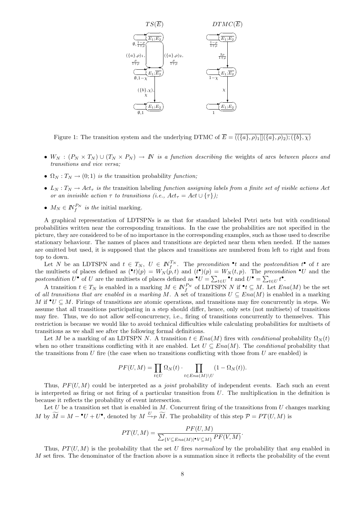

Figure 1: The transition system and the underlying DTMC of  $\overline{E} = \overline{((a), \rho)_1 \mathbb{I}((a), \rho)_2; (\{b\}, \chi)}$ 

- $W_N : (P_N \times T_N) \cup (T_N \times P_N) \to N$  is a function describing the weights of arcs between places and transitions and vice versa;
- $\Omega_N : T_N \to (0, 1)$  is the transition probability function;
- $L_N: T_N \to Act_\tau$  is the transition labeling function assigning labels from a finite set of visible actions Act or an invisible action  $\tau$  to transitions (i.e.,  $Act_{\tau} = Act \cup {\tau}$ );
- $M_N \in \mathbb{N}_f^{P_N}$  is the initial marking.

A graphical representation of LDTSPNs is as that for standard labeled Petri nets but with conditional probabilities written near the corresponding transitions. In the case the probabilities are not specified in the picture, they are considered to be of no importance in the corresponding examples, such as those used to describe stationary behaviour. The names of places and transitions are depicted near them when needed. If the names are omitted but used, it is supposed that the places and transitions are numbered from left to right and from top to down.

Let N be an LDTSPN and  $t \in T_N$ ,  $U \in \mathbb{N}_{f}^{T_N}$ . The precondition  $\cdot t$  and the postcondition  $t^{\bullet}$  of t are the multisets of places defined as  $(\cdot t)(p) = W_N(p, t)$  and  $(t^{\bullet})(p) = W_N(t, p)$ . The precondition  $\cdot U$  and the postcondition  $U^{\bullet}$  of U are the multisets of places defined as  $^{\bullet}U = \sum_{t \in U}^{\bullet} t$  and  $U^{\bullet} = \sum_{t \in U} t^{\bullet}$ .

A transition  $t \in T_N$  is enabled in a marking  $M \in \mathbb{N}_{f}^{P_N}$  of LDTSPN N if  $\mathbf{t} \subseteq M$ . Let  $Ena(M)$  be the set of all transitions that are enabled in a marking M. A set of transitions  $U \subseteq Ena(M)$  is enabled in a marking M if  $\mathbf{v} \subseteq M$ . Firings of transitions are atomic operations, and transitions may fire concurrently in steps. We assume that all transitions participating in a step should differ, hence, only sets (not multisets) of transitions may fire. Thus, we do not allow self-concurrency, i.e., firing of transitions concurrently to themselves. This restriction is because we would like to avoid technical difficulties while calculating probabilities for multisets of transitions as we shall see after the following formal definitions.

Let M be a marking of an LDTSPN N. A transition  $t \in Ena(M)$  fires with *conditional* probability  $\Omega_N(t)$ when no other transitions conflicting with it are enabled. Let  $U \subseteq Ena(M)$ . The *conditional* probability that the transitions from  $U$  fire (the case when no transitions conflicting with those from  $U$  are enabled) is

$$
PF(U, M) = \prod_{t \in U} \Omega_N(t) \cdot \prod_{t \in Ena(M) \setminus U} (1 - \Omega_N(t)).
$$

Thus,  $PF(U, M)$  could be interpreted as a *joint* probability of independent events. Each such an event is interpreted as firing or not firing of a particular transition from  $U$ . The multiplication in the definition is because it reflects the probability of event intersection.

Let U be a transition set that is enabled in  $M$ . Concurrent firing of the transitions from U changes marking M by  $\widetilde{M} = M - {}^{\bullet}U + U^{\bullet}$ , denoted by  $M \xrightarrow{U} \widetilde{M}$ . The probability of this step  $\mathcal{P} = PT(U, M)$  is

$$
PT(U, M) = \frac{PF(U, M)}{\sum_{\{V \subseteq Ena(M) | \mathbf{v} \subseteq M\}} PF(V, M)}.
$$

Thus,  $PT(U, M)$  is the probability that the set U fires normalized by the probability that any enabled in  $M$  set fires. The denominator of the fraction above is a summation since it reflects the probability of the event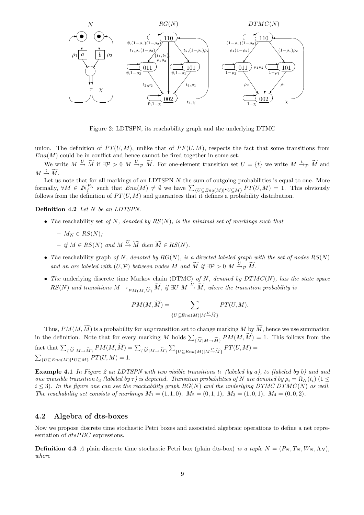

Figure 2: LDTSPN, its reachability graph and the underlying DTMC

union. The definition of  $PT(U, M)$ , unlike that of  $PF(U, M)$ , respects the fact that some transitions from  $Ena(M)$  could be in conflict and hence cannot be fired together in some set.

We write  $M \stackrel{U}{\to} \widetilde{M}$  if  $\exists \mathcal{P} > 0$   $M \stackrel{U}{\to}_{\mathcal{P}} \widetilde{M}$ . For one-element transition set  $U = \{t\}$  we write  $M \stackrel{t}{\to}_{\mathcal{P}} \widetilde{M}$  and  $M \stackrel{t}{\rightarrow} \widetilde{M}.$ 

Let us note that for all markings of an LDTSPN  $N$  the sum of outgoing probabilities is equal to one. More Let us note that for an markings of an LDTSPN N the sum of outgoing probabilities is equal to one. More<br>formally,  $\forall M \in \mathbb{N}_{f}^{P_N}$  such that  $Ena(M) \neq \emptyset$  we have  $\sum_{\{U \subseteq Ena(M)|\bullet U \subseteq M\}} PT(U, M) = 1$ . This obviously follows from the definition of  $PT(U, M)$  and guarantees that it defines a probability distribution.

Definition 4.2 Let N be an LDTSPN.

- The reachability set of N, denoted by  $RS(N)$ , is the minimal set of markings such that
	- $M_N \in RS(N)$ ;
	- $-$  if  $M \in RS(N)$  and  $M \stackrel{U}{\rightarrow} \widetilde{M}$  then  $\widetilde{M} \in RS(N)$ .
- The reachability graph of N, denoted by  $RG(N)$ , is a directed labeled graph with the set of nodes  $RS(N)$ and an arc labeled with  $(U, \mathcal{P})$  between nodes M and  $\widetilde{M}$  if  $\exists \mathcal{P} > 0$  M  $\overset{U}{\rightarrow} \rho \widetilde{M}$ .
- The underlying discrete time Markov chain (DTMC) of  $N$ , denoted by  $DTMC(N)$ , has the state space  $RS(N)$  and transitions  $M \to_{PM(M,\widetilde{M})} \widetilde{M}$ , if  $\exists U \ M \stackrel{U}{\to} \widetilde{M}$ , where the transition probability is

$$
PM(M, \widetilde{M}) = \sum_{\{U \subseteq Ena(M)|M \stackrel{U}{\rightarrow} \widetilde{M}\}} PT(U, M).
$$

Thus,  $PM(M, \widetilde{M})$  is a probability for any transition set to change marking M by  $\widetilde{M}$ , hence we use summation in the definition. Note that for every marking M holds  $\sum_{\{\widetilde{M}|M\to\widetilde{M}\}}PM(M,\widetilde{M})=1$ . This follows from the fact that  $\sum_{\{\widetilde{M}|M\rightarrow\widetilde{M}\}}PM(M,\widetilde{M})=\sum_{\{\widetilde{M}|M\rightarrow\widetilde{M}\}}$  $\overline{ }$  ${U \subseteq Ena(M)|M \to \widetilde{M}}$   $PT(U, M) =$  $\overline{ }$  ${U \subseteq Ena(M)|\bullet U \subseteq M} PT(U, M) = 1.$ 

**Example 4.1** In Figure 2 an LDTSPN with two visible transitions  $t_1$  (labeled by a),  $t_2$  (labeled by b) and and one invisible transition t<sub>3</sub> (labeled by  $\tau$ ) is depicted. Transition probabilities of N are denoted by  $\rho_i = \Omega_N(t_i)$  (1  $\leq$  $i \leq 3$ ). In the figure one can see the reachability graph RG(N) and the underlying DTMC DTMC(N) as well. The reachability set consists of markings  $M_1 = (1, 1, 0), M_2 = (0, 1, 1), M_3 = (1, 0, 1), M_4 = (0, 0, 2)$ .

#### 4.2 Algebra of dts-boxes

Now we propose discrete time stochastic Petri boxes and associated algebraic operations to define a net representation of  $dt s P B C$  expressions.

**Definition 4.3** A plain discrete time stochastic Petri box (plain dts-box) is a tuple  $N = (P_N, T_N, W_N, \Lambda_N)$ . where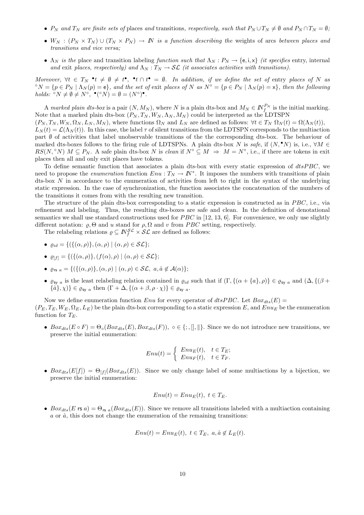- $P_N$  and  $T_N$  are finite sets of places and transitions, respectively, such that  $P_N \cup T_N \neq \emptyset$  and  $P_N \cap T_N = \emptyset$ ;
- $W_N : (P_N \times T_N) \cup (T_N \times P_N) \to N$  is a function describing the weights of arcs between places and transitions and vice versa;
- $\Lambda_N$  is the place and transition labeling function such that  $\Lambda_N : P_N \to \{e, i, x\}$  (it specifies entry, internal and exit places, respectively) and  $\Lambda_N : T_N \to \mathcal{SL}$  (it associates activities with transitions).

Moreover,  $\forall t \in T_N \cdot t \neq \emptyset \neq t^{\bullet}$ ,  $\bullet t \cap t^{\bullet} = \emptyset$ . In addition, if we define the set of entry places of N as  $\hat{\sigma}_N = \{p \in P_N \mid \Lambda_N(p) = \mathbf{e}\}\$ , and the set of exit places of N as  $N^{\circ} = \{p \in P_N \mid \Lambda_N(p) = \mathbf{x}\}\$ , then the following holds:  ${}^{\circ}N \neq \emptyset \neq N^{\circ}, \bullet({}^{\circ}N) = \emptyset = (N^{\circ})^{\bullet}.$ 

A marked plain dts-box is a pair  $(N, M_N)$ , where N is a plain dts-box and  $M_N \in N_f^{P_N}$  is the initial marking. Note that a marked plain dts-box  $(P_N, T_N, W_N, \Lambda_N, M_N)$  could be interpreted as the LDTSPN

 $(P_N, T_N, W_N, \Omega_N, L_N, M_N)$ , where functions  $\Omega_N$  and  $L_N$  are defined as follows:  $\forall t \in T_N$   $\Omega_N(t) = \Omega(\Lambda_N(t)),$ 

 $L_N(t) = \mathcal{L}(\Lambda_N(t))$ . In this case, the label  $\tau$  of silent transitions from the LDTSPN corresponds to the multiaction part ∅ of activities that label unobservable transitions of the the corresponding dts-box. The behaviour of marked dts-boxes follows to the firing rule of LDTSPNs. A plain dts-box N is safe, if  $(N, \bullet N)$  is, i.e.,  $\forall M \in$  $RS(N, \degree N)$   $M \subseteq P_N$ . A safe plain dts-box N is clean if  $N^{\degree} \subseteq M \Rightarrow M = N^{\degree}$ , i.e., if there are tokens in exit places then all and only exit places have tokens.

To define semantic function that associates a plain dts-box with every static expression of  $dtsPBC$ , we need to propose the *enumeration* function  $Enu: T_N \to \mathbb{N}^*$ . It imposes the numbers with transitions of plain dts-box N in accordance to the enumeration of activities from left to right in the syntax of the underlying static expression. In the case of synchronization, the function associates the concatenation of the numbers of the transitions it comes from with the resulting new transition.

The structure of the plain dts-box corresponding to a static expression is constructed as in  $PBC$ , i.e., via refinement and labeling. Thus, the resulting dts-boxes are safe and clean. In the definition of denotational semantics we shall use standard constructions used for  $PBC$  in [12, 13, 6]. For convenience, we only use slightly different notation:  $\rho$ ,  $\Theta$  and  $u$  stand for  $\rho$ ,  $\Omega$  and  $v$  from PBC setting, respectively.

The relabeling relations  $\rho \subseteq \mathbb{N}_{f}^{\mathcal{SL}} \times \mathcal{SL}$  are defined as follows:

- $\rho_{id} = \{ (\{(\alpha, \rho)\}, (\alpha, \rho) \mid (\alpha, \rho) \in \mathcal{SL} \};$
- $\varrho_{[f]} = \{ (\{(\alpha, \rho)\}, (f(\alpha), \rho) \mid (\alpha, \rho) \in \mathcal{SL} \};$
- $\varrho_{rs a} = \{ (\{ (\alpha, \rho) \}, (\alpha, \rho) \mid (\alpha, \rho) \in \mathcal{SL}, \ a, \hat{a} \notin \mathcal{A}(\alpha) \};$
- $\varrho_{\text{sy }a}$  is the least relabeling relation contained in  $\varrho_{id}$  such that if  $(\Gamma, \{(\alpha + \{a\}, \rho)\}\in \varrho_{\text{sy }a}$  and  $(\Delta, \{(\beta +$  $\{\hat{a}\}, \chi\} \in \varrho_{\text{sy } a}$  then  $(\Gamma + \Delta, \{(\alpha + \beta, \rho \cdot \chi)\}\in \varrho_{\text{sy } a}.$

Now we define enumeration function Enu for every operator of  $dtsPBC$ . Let  $Box_{dts}(E)$  $(P_E, T_E, W_E, \Omega_E, L_E)$  be the plain dts-box corresponding to a static expression E, and  $Enu_E$  be the enumeration function for  $T_E$ .

•  $Box_{dts}(E \circ F) = \Theta_{\circ}(Box_{dts}(E), Box_{dts}(F)), \circ \in \{; , \|, \| \}$ . Since we do not introduce new transitions, we preserve the initial enumeration:

$$
Enu(t) = \begin{cases} EnuE(t), & t \in TE;EnuF(t), & t \in TF. \end{cases}
$$

•  $Box_{dts}(E[f]) = \Theta_{[f]}(Box_{dts}(E)).$  Since we only change label of some multiactions by a bijection, we preserve the initial enumeration:

$$
Enu(t) = EnuE(t), t \in TE.
$$

•  $Box_{dts}(E \text{ is a}) = \Theta_{rs a}(Box_{dts}(E)).$  Since we remove all transitions labeled with a multiaction containing  $a$  or  $\hat{a}$ , this does not change the enumeration of the remaining transitions:

$$
Enu(t) = EnuE(t), t \in TE, a, \hat{a} \notin LE(t).
$$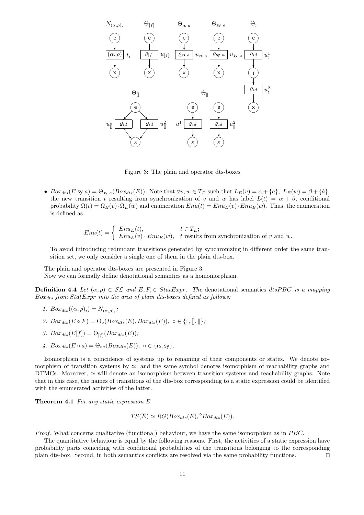

Figure 3: The plain and operator dts-boxes

•  $Box_{dts}(E \text{ sy } a) = \Theta_{\text{sv } a}(Box_{dts}(E)).$  Note that  $\forall v, w \in T_E$  such that  $L_E(v) = \alpha + \{a\}, L_E(w) = \beta + \{\hat{a}\},$ the new transition t resulting from synchronization of v and w has label  $L(t) = \alpha + \beta$ , conditional probability  $\Omega(t) = \Omega_E(v) \cdot \Omega_E(w)$  and enumeration  $Env(t) = Env_E(v) \cdot Env_E(w)$ . Thus, the enumeration is defined as

$$
Env(t) = \begin{cases} Enu_E(t), & t \in T_E; \\ Enu_E(v) \cdot Enu_E(w), & t \text{ results from synchronization of } v \text{ and } w. \end{cases}
$$

To avoid introducing redundant transitions generated by synchronizing in different order the same transition set, we only consider a single one of them in the plain dts-box.

The plain and operator dts-boxes are presented in Figure 3.

Now we can formally define denotational semantics as a homomorphism.

**Definition 4.4** Let  $(\alpha, \rho) \in \mathcal{SL}$  and  $E, F \in StartExpr$ . The denotational semantics dtsPBC is a mapping  $Box_{dts}$  from  $StatExpr$  into the area of plain dts-boxes defined as follows:

- 1.  $Box_{dts}((\alpha, \rho)_i) = N_{(\alpha, \rho)_i};$
- 2.  $Box_{dts}(E \circ F) = \Theta_{\circ}(Box_{dts}(E),Box_{dts}(F)), \circ \in \{; , \|, \| \};$
- 3.  $Box_{dts}(E[f]) = \Theta_{[f]}(Box_{dts}(E));$
- 4.  $Box_{dts}(E \circ a) = \Theta_{oa}(Box_{dts}(E)), \circ \in \{ \text{rs}, \text{sy} \}.$

Isomorphism is a coincidence of systems up to renaming of their components or states. We denote isomorphism of transition systems by  $\approx$ , and the same symbol denotes isomorphism of reachability graphs and DTMCs. Moreover,  $\simeq$  will denote an isomorphism between transition systems and reachability graphs. Note that in this case, the names of transitions of the dts-box corresponding to a static expression could be identified with the enumerated activities of the latter.

**Theorem 4.1** For any static expression  $E$ 

$$
TS(\overline{E}) \simeq RG(Box_{dts}(E), ^{\circ}Box_{dts}(E)).
$$

*Proof.* What concerns qualitative (functional) behaviour, we have the same isomorphism as in  $PBC$ .

The quantitative behaviour is equal by the following reasons. First, the activities of a static expression have probability parts coinciding with conditional probabilities of the transitions belonging to the corresponding plain dts-box. Second, in both semantics conflicts are resolved via the same probability functions.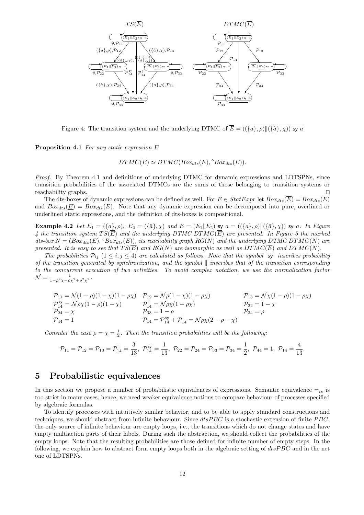

Figure 4: The transition system and the underlying DTMC of  $\overline{E} = \overline{((\{a\}, \rho) \| (\{\hat{a}\}, \chi))}$  sy a

Proposition 4.1 For any static expression E

 $DTMC(\overline{E}) \simeq DTMC(Box_{dts}(E), \degree Box_{dts}(E)).$ 

Proof. By Theorem 4.1 and definitions of underlying DTMC for dynamic expressions and LDTSPNs, since transition probabilities of the associated DTMCs are the sums of those belonging to transition systems or reachability graphs.

The dts-boxes of dynamic expressions can be defined as well. For  $E \in StatExpr$  let  $Box_{ds}(\overline{E}) = \overline{Box_{dts}(E)}$ and  $Box_{dts}(\underline{E}) = Box_{dts}(E)$ . Note that any dynamic expression can be decomposed into pure, overlined or underlined static expressions, and the definition of dts-boxes is compositional.

**Example 4.2** Let  $E_1 = (\{a\}, \rho), E_2 = (\{\hat{a}\}, \chi)$  and  $E = (E_1||E_2)$  sy  $a = ((\{a\}, \rho)||(\{\hat{a}\}, \chi))$  sy a. In Figure 4 the transition system  $TS(\overline{E})$  and the underlying DTMC DTMC( $\overline{E}$ ) are presented. In Figure 5 the marked dts-box  $N = (Box_{dts}(E), \degree Box_{dts}(E))$ , its reachability graph  $RG(N)$  and the underlying DTMC DTMC(N) are presented. It is easy to see that  $TS(\overline{E})$  and  $RG(N)$  are isomorphic as well as  $DTMC(\overline{E})$  and  $DTMC(N)$ .

The probabilities  $P_{ij}$   $(1 \le i, j \le 4)$  are calculated as follows. Note that the symbol sy inscribes probability of the transition generated by synchronization, and the symbol  $\parallel$  inscribes that of the transition corresponding to the concurrent execution of two activities. To avoid complex notation, we use the normalization factor  $\mathcal{N} = \frac{1}{1 - \rho^2 \chi - \rho \chi^2 + \rho^2 \chi^2}.$ 

$$
\begin{array}{ll}\n\mathcal{P}_{11} = \mathcal{N}(1-\rho)(1-\chi)(1-\rho\chi) & \mathcal{P}_{12} = \mathcal{N}\rho(1-\chi)(1-\rho\chi) & \mathcal{P}_{13} = \mathcal{N}\chi(1-\rho)(1-\rho\chi) \\
\mathcal{P}_{14}^{\text{sy}} = \mathcal{N}\rho\chi(1-\rho)(1-\chi) & \mathcal{P}_{14}^{\parallel} = \mathcal{N}\rho\chi(1-\rho\chi) & \mathcal{P}_{22} = 1-\chi \\
\mathcal{P}_{24} = \chi & \mathcal{P}_{33} = 1-\rho & \mathcal{P}_{34} = \rho \\
\mathcal{P}_{44} = 1 & \mathcal{P}_{14} = \mathcal{P}_{14}^{\text{sy}} + \mathcal{P}_{14}^{\parallel} = \mathcal{N}\rho\chi(2-\rho-\chi)\n\end{array}
$$

Consider the case  $\rho = \chi = \frac{1}{2}$ . Then the transition probabilities will be the following:

$$
\mathcal{P}_{11}=\mathcal{P}_{12}=\mathcal{P}_{13}=\mathcal{P}_{14}^\parallel=\frac{3}{13},\,\, \mathcal{P}_{14}^\text{sy}=\frac{1}{13},\,\, \mathcal{P}_{22}=\mathcal{P}_{24}=\mathcal{P}_{33}=\mathcal{P}_{34}=\frac{1}{2},\,\, \mathcal{P}_{44}=1,\,\, \mathcal{P}_{14}=\frac{4}{13}.
$$

#### 5 Probabilistic equivalences

In this section we propose a number of probabilistic equivalences of expressions. Semantic equivalence  $=_{ts}$  is too strict in many cases, hence, we need weaker equivalence notions to compare behaviour of processes specified by algebraic formulas.

To identify processes with intuitively similar behavior, and to be able to apply standard constructions and techniques, we should abstract from infinite behaviour. Since  $dtsPBC$  is a stochastic extension of finite  $PBC$ , the only source of infinite behaviour are empty loops, i.e., the transitions which do not change states and have empty multiaction parts of their labels. During such the abstraction, we should collect the probabilities of the empty loops. Note that the resulting probabilities are those defined for infinite number of empty steps. In the following, we explain how to abstract form empty loops both in the algebraic setting of  $dtsPBC$  and in the net one of LDTSPNs.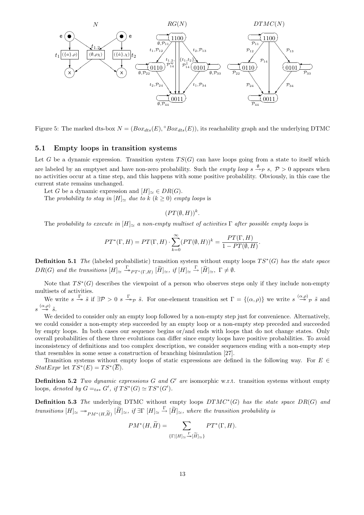

Figure 5: The marked dts-box  $N = (Box_{dts}(E), \degree Box_{dts}(E))$ , its reachability graph and the underlying DTMC

#### 5.1 Empty loops in transition systems

Let G be a dynamic expression. Transition system  $TS(G)$  can have loops going from a state to itself which are labeled by an emptyset and have non-zero probability. Such the *empty loop*  $s \xrightarrow{\emptyset} s$ ,  $\mathcal{P} > 0$  appears when no activities occur at a time step, and this happens with some positive probability. Obviously, in this case the current state remains unchanged.

Let G be a dynamic expression and  $[H]_{\sim} \in DR(G)$ .

The probability to stay in  $[H]_{\sim}$  due to k  $(k \geq 0)$  empty loops is

$$
(PT(\emptyset, H))^k
$$
.

The probability to execute in  $[H]_{\simeq}$  a non-empty multiset of activities  $\Gamma$  after possible empty loops is

$$
PT^*(\Gamma,H)=PT(\Gamma,H)\cdot\sum_{k=0}^{\infty}(PT(\emptyset,H))^k=\frac{PT(\Gamma,H)}{1-PT(\emptyset,H)}.
$$

**Definition 5.1** The (labeled probabilistic) transition system without empty loops  $TS^*(G)$  has the state space  $DR(G)$  and the transitions  $[H]_{\simeq} \stackrel{\Gamma}{\twoheadrightarrow} _{PT^*(\Gamma,H)} [\widetilde{H}]_{\simeq}$ , if  $[H]_{\simeq} \stackrel{\Gamma}{\rightarrow} [\widetilde{H}]_{\simeq}$ ,  $\Gamma \neq \emptyset$ .

Note that  $TS^*(G)$  describes the viewpoint of a person who observes steps only if they include non-empty multisets of activities.

We write  $s \stackrel{\Gamma}{\to} \tilde{s}$  if  $\exists \mathcal{P} > 0$   $s \stackrel{\Gamma}{\to} \tilde{\mathcal{P}} \tilde{s}$ . For one-element transition set  $\Gamma = \{(\alpha, \rho)\}\$  we write  $s \stackrel{(\alpha, \rho)}{\to} \tilde{\mathcal{P}} \tilde{s}$  and  $s \stackrel{(\alpha,\rho)}{\longrightarrow} \tilde{s}.$ 

We decided to consider only an empty loop followed by a non-empty step just for convenience. Alternatively, we could consider a non-empty step succeeded by an empty loop or a non-empty step preceded and succeeded by empty loops. In both cases our sequence begins or/and ends with loops that do not change states. Only overall probabilities of these three evolutions can differ since empty loops have positive probabilities. To avoid inconsistency of definitions and too complex description, we consider sequences ending with a non-empty step that resembles in some sense a construction of branching bisimulation [27].

Transition systems without empty loops of static expressions are defined in the following way. For  $E \in \mathcal{E}$  $StatExpr$  let  $TS^*(E) = TS^*(\overline{E}).$ 

**Definition 5.2** Two dynamic expressions G and G' are isomorphic w.r.t. transition systems without empty loops, denoted by  $G =_{ts*} G'$ , if  $TS^*(G) \simeq TS^*(G')$ .

**Definition 5.3** The underlying DTMC without empty loops  $DTMC^*(G)$  has the state space  $DR(G)$  and transitions  $[H]_{\simeq} \to_{PM^*(H, \widetilde{H})} [\widetilde{H}]_{\simeq}$ , if  $\exists \Gamma[H]_{\simeq} \xrightarrow{\Gamma} [\widetilde{H}]_{\simeq}$ , where the transition probability is

$$
PM^*(H, \widetilde{H}) = \sum_{\{\Gamma \mid [H]_{\simeq}} \mathcal{F}_{\bullet} \mid \widetilde{H} \mid \simeq \}} PT^*(\Gamma, H).
$$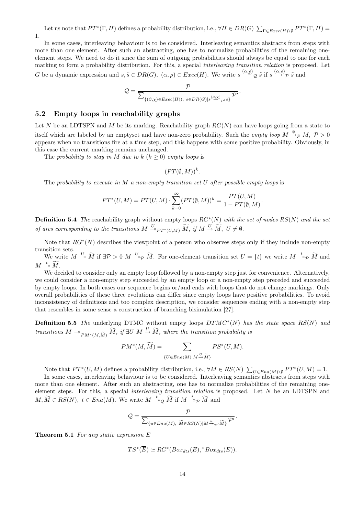Let us note that  $PT^*(\Gamma, H)$  defines a probability distribution, i.e.,  $\forall H \in DR(G)$   $\sum_{\Gamma \in Excel(H) \setminus \emptyset} PT^*(\Gamma, H)$ 1.

In some cases, interleaving behaviour is to be considered. Interleaving semantics abstracts from steps with more than one element. After such an abstracting, one has to normalize probabilities of the remaining oneelement steps. We need to do it since the sum of outgoing probabilities should always be equal to one for each marking to form a probability distribution. For this, a special *interleaving transition relation* is proposed. Let G be a dynamic expression and  $s, \tilde{s} \in DR(G), \ (\alpha, \rho) \in Excel(H)$ . We write  $s \stackrel{(\alpha, \rho)}{\longrightarrow} \tilde{\varrho} \tilde{s}$  if  $s \stackrel{(\alpha, \rho)}{\longrightarrow} \tilde{\varrho} \tilde{s}$  and

$$
\mathcal{Q} = \frac{\mathcal{P}}{\sum_{\{(\beta,\chi) \in \mathit{Exec}(H)), \ \tilde{s} \in \mathit{DR}(G) \mid s \stackrel{(\beta,\chi)}{\rightarrow} p^{\prime} \tilde{s} \}}} \frac{\mathcal{P}'}{\mathcal{P}'}.
$$

#### 5.2 Empty loops in reachability graphs

Let N be an LDTSPN and M be its marking. Reachability graph  $RG(N)$  can have loops going from a state to itself which are labeled by an emptyset and have non-zero probability. Such the *empty loop*  $M \stackrel{\emptyset}{\to}_{\mathcal{P}} M$ ,  $\mathcal{P} > 0$ appears when no transitions fire at a time step, and this happens with some positive probability. Obviously, in this case the current marking remains unchanged.

The probability to stay in M due to  $k (k \geq 0)$  empty loops is

$$
(PT(\emptyset, M))^k.
$$

The probability to execute in M a non-empty transition set U after possible empty loops is

$$
PT^*(U, M) = PT(U, M) \cdot \sum_{k=0}^{\infty} (PT(\emptyset, M))^k = \frac{PT(U, M)}{1 - PT(\emptyset, M)}.
$$

**Definition 5.4** The reachability graph without empty loops  $RG^*(N)$  with the set of nodes  $RS(N)$  and the set of arcs corresponding to the transitions  $M \stackrel{U}{\rightarrow} P_{T^*(U,M)} \widetilde{M}$ , if  $M \stackrel{U}{\rightarrow} \widetilde{M}$ ,  $U \neq \emptyset$ .

Note that  $RG^*(N)$  describes the viewpoint of a person who observes steps only if they include non-empty transition sets.

We write  $M \stackrel{U}{\rightarrow} \widetilde{M}$  if  $\exists \mathcal{P} > 0$   $M \stackrel{U}{\rightarrow} \widetilde{M}$ . For one-element transition set  $U = \{t\}$  we write  $M \stackrel{t}{\rightarrow} \widetilde{p}$  and  $M \stackrel{t}{\twoheadrightarrow} \widetilde{M}.$ 

We decided to consider only an empty loop followed by a non-empty step just for convenience. Alternatively, we could consider a non-empty step succeeded by an empty loop or a non-empty step preceded and succeeded by empty loops. In both cases our sequence begins or/and ends with loops that do not change markings. Only overall probabilities of these three evolutions can differ since empty loops have positive probabilities. To avoid inconsistency of definitions and too complex description, we consider sequences ending with a non-empty step that resembles in some sense a construction of branching bisimulation [27].

**Definition 5.5** The underlying DTMC without empty loops  $DTMC^*(N)$  has the state space  $RS(N)$  and transitions  $M \to_{PM^*(M, \widetilde{M})} \widetilde{M}$ , if  $\exists U \ M \stackrel{U}{\to} \widetilde{M}$ , where the transition probability is

$$
PM^*(M, \widetilde{M}) = \sum_{\{U \in Ena(M)|M \stackrel{U}{\twoheadrightarrow} \widetilde{M}\}} PS^*(U, M).
$$

Note that  $PT^*(U, M)$  defines a probability distribution, i.e.,  $\forall M \in RS(N)$   $\sum_{U \in Ena(M) \setminus \emptyset} PT^*(U, M) = 1$ .

In some cases, interleaving behaviour is to be considered. Interleaving semantics abstracts from steps with more than one element. After such an abstracting, one has to normalize probabilities of the remaining oneelement steps. For this, a special *interleaving transition relation* is proposed. Let  $N$  be an LDTSPN and  $M, \widetilde{M} \in RS(N), t \in Ena(M)$ . We write  $M \stackrel{t}{\rightarrow} {\mathfrak{Q}} \widetilde{M}$  if  $M \stackrel{t}{\rightarrow} {\mathfrak{p}} \widetilde{M}$  and

$$
Q = \frac{P}{\sum_{\{u \in Ena(M), \widetilde{M} \in RS(N)|M \stackrel{u}{\to}_{\mathcal{P}'} \widetilde{M}\}} P'}.
$$

**Theorem 5.1** For any static expression  $E$ 

$$
TS^*(\overline{E}) \simeq RG^*(Box_{dts}(E), {}^{\circ}Box_{dts}(E)).
$$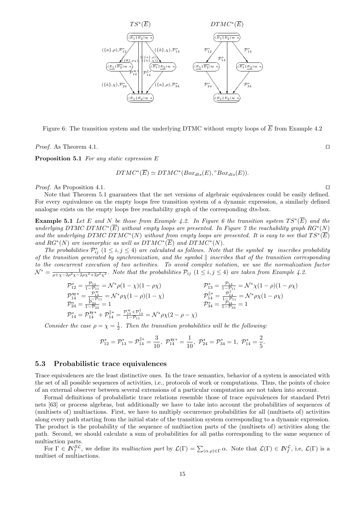

Figure 6: The transition system and the underlying DTMC without empty loops of  $\overline{E}$  from Example 4.2

*Proof.* As Theorem 4.1.  $\Box$ 

Proposition 5.1 For any static expression E

$$
DTMC^*(\overline{E}) \simeq DTMC^*(Box_{dts}(E), ^{\circ}Box_{dts}(E)).
$$

*Proof.* As Proposition 4.1.  $\square$ 

Note that Theorem 5.1 guarantees that the net versions of algebraic equivalences could be easily defined. For every equivalence on the empty loops free transition system of a dynamic expression, a similarly defined analogue exists on the empty loops free reachability graph of the corresponding dts-box.

**Example 5.1** Let E and N be those from Example 4.2. In Figure 6 the transition system  $TS^*(\overline{E})$  and the underlying DTMC DTMC<sup>\*</sup>(E) without empty loops are presented. In Figure 7 the reachability graph RG<sup>\*</sup>(N) and the underlying DTMC DTMC<sup>\*</sup>(N) without from empty loops are presented. It is easy to see that  $TS^*(\overline{E})$ and  $RG^*(N)$  are isomorphic as well as  $DTMC^*(\overline{E})$  and  $DTMC^*(N)$ .

The probabilities  $\mathcal{P}_{ij}^*$   $(1 \le i, j \le 4)$  are calculated as follows. Note that the symbol sy inscribes probability of the transition generated by synchronization, and the symbol  $\parallel$  inscribes that of the transition corresponding to the concurrent execution of two activities. To avoid complex notation, we use the normalization factor  $\mathcal{N}^* = \frac{1}{\rho + \chi - 2\rho^2\chi - 2\rho\chi^2 + 2\rho^2\chi^2}$ . Note that the probabilities  $\mathcal{P}_{ij}$  (1  $\leq i, j \leq 4$ ) are taken from Example 4.2.

$$
\begin{array}{ll}\n\mathcal{P}_{12}^* = \frac{\mathcal{P}_{12}}{1 - \mathcal{P}_{11}} = \mathcal{N}^* \rho (1 - \chi)(1 - \rho \chi) & \mathcal{P}_{13}^* = \frac{\mathcal{P}_{13}}{1 - \mathcal{P}_{11}} = \mathcal{N}^* \chi (1 - \rho)(1 - \rho \chi) \\
\mathcal{P}_{14}^{s*} = \frac{\mathcal{P}_{14}^{s*}}{1 - \mathcal{P}_{24}} = \mathcal{N}^* \rho \chi (1 - \rho)(1 - \chi) & \mathcal{P}_{14}^{\parallel *} = \frac{\mathcal{P}_{14}^{0}}{1 - \mathcal{P}_{14}} = \mathcal{N}^* \rho \chi (1 - \rho \chi) \\
\mathcal{P}_{24}^* = \frac{\mathcal{P}_{24}}{1 - \mathcal{P}_{22}} = 1 & \mathcal{P}_{34}^* = \frac{\mathcal{P}_{34}^{0}}{1 - \mathcal{P}_{33}} = 1 \\
\mathcal{P}_{14}^* = \mathcal{P}_{14}^{s*} + \mathcal{P}_{14}^{\parallel *} = \frac{\mathcal{P}_{14}^{s*} + \mathcal{P}_{14}^{\parallel}}{1 - \mathcal{P}_{11}} = \mathcal{N}^* \rho \chi (2 - \rho - \chi)\n\end{array}
$$

Consider the case  $\rho = \chi = \frac{1}{2}$ . Then the transition probabilities will be the following:

$$
\mathcal{P}^*_{12}=\mathcal{P}^*_{13}=\mathcal{P}^{\parallel *}_{14}=\frac{3}{10},\ \mathcal{P}^{\text{sy}\,*}_{14}=\frac{1}{10},\ \mathcal{P}^*_{24}=\mathcal{P}^*_{34}=1,\ \mathcal{P}^*_{14}=\frac{2}{5}.
$$

#### 5.3 Probabilistic trace equivalences

Trace equivalences are the least distinctive ones. In the trace semantics, behavior of a system is associated with the set of all possible sequences of activities, i.e., protocols of work or computations. Thus, the points of choice of an external observer between several extensions of a particular computation are not taken into account.

Formal definitions of probabilistic trace relations resemble those of trace equivalences for standard Petri nets [63] or process algebras, but additionally we have to take into account the probabilities of sequences of (multisets of) multiactions. First, we have to multiply occurrence probabilities for all (multisets of) activities along every path starting from the initial state of the transition system corresponding to a dynamic expression. The product is the probability of the sequence of multiaction parts of the (multisets of) activities along the path. Second, we should calculate a sum of probabilities for all paths corresponding to the same sequence of multiaction parts.

For  $\Gamma \in \mathbb{N}_{f}^{\mathcal{SL}}$ , we define its *multiaction part* by  $\mathcal{L}(\Gamma) = \sum_{(\alpha,\rho) \in \Gamma} \alpha$ . Note that  $\mathcal{L}(\Gamma) \in \mathbb{N}_{f}^{\mathcal{L}}$ , i.e,  $\mathcal{L}(\Gamma)$  is a multiset of multiactions.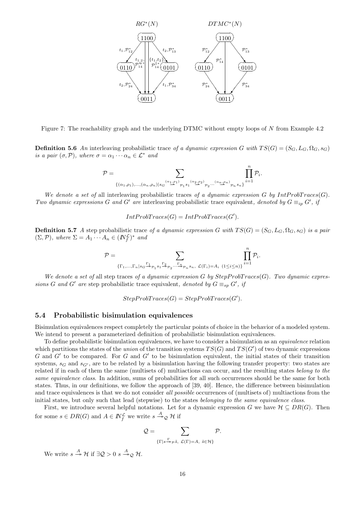

Figure 7: The reachability graph and the underlying DTMC without empty loops of N from Example 4.2

**Definition 5.6** An interleaving probabilistic trace of a dynamic expression G with  $TS(G) = (S_G, L_G, \Omega_G, s_G)$ is a pair  $(\sigma, \mathcal{P})$ , where  $\sigma = \alpha_1 \cdots \alpha_n \in \mathcal{L}^*$  and

$$
\mathcal{P}=\sum_{\{(\alpha_1,\rho_1),... ,(\alpha_n,\rho_n) \mid s_{G} \overset{(\alpha_1,\rho_1)}{\longrightarrow} \mathcal{P}_1 s_{1}} \prod_{\alpha_2,\beta_2,...,\alpha_n,\rho_n \atop \gamma_2,...,\gamma_n s_n \}}^n \prod_{i=1}^n \mathcal{P}_i.
$$

We denote a set of all interleaving probabilistic traces of a dynamic expression G by IntProbTraces(G). Two dynamic expressions G and G' are interleaving probabilistic trace equivalent, denoted by  $G \equiv_{ip} G'$ , if

$$
IntProbTrace(G) = IntProbTrace(G').
$$

**Definition 5.7** A step probabilistic trace of a dynamic expression G with  $TS(G) = (S_G, L_G, \Omega_G, s_G)$  is a pair  $(\Sigma, \mathcal{P})$ , where  $\Sigma = A_1 \cdots A_n \in (I\!\!N_f^{\mathcal{L}})^*$  and

$$
\mathcal{P} = \sum_{\{\Gamma_1,\ldots,\Gamma_n \mid s_G \stackrel{\Gamma_1}{\twoheadrightarrow} \mathcal{P}_1} s_1 \stackrel{\Gamma_2}{\twoheadrightarrow} \mathcal{P}_2 \ldots \stackrel{\Gamma_n}{\twoheadrightarrow} \mathcal{P}_n s_n, \ \mathcal{L}(\Gamma_i) = A_i \ (1 \leq i \leq n)\}} \prod_{i=1}^n \mathcal{P}_i.
$$

We denote a set of all step traces of a dynamic expression  $G$  by  $StepProbTrace(G)$ . Two dynamic expressions G and G' are step probabilistic trace equivalent, denoted by  $G \equiv_{sp} G'$ , if

 $StepProbTrace(G) = Step ProbTrace(G').$ 

#### 5.4 Probabilistic bisimulation equivalences

Bisimulation equivalences respect completely the particular points of choice in the behavior of a modeled system. We intend to present a parameterized definition of probabilistic bisimulation equivalences.

To define probabilistic bisimulation equivalences, we have to consider a bisimulation as an *equivalence* relation which partitions the states of the union of the transition systems  $TS(G)$  and  $TS(G')$  of two dynamic expressions  $G$  and  $G'$  to be compared. For  $G$  and  $G'$  to be bisimulation equivalent, the initial states of their transition systems,  $s_G$  and  $s_{G'}$ , are to be related by a bisimulation having the following transfer property: two states are related if in each of them the same (multisets of) multiactions can occur, and the resulting states belong to the same equivalence class. In addition, sums of probabilities for all such occurrences should be the same for both states. Thus, in our definitions, we follow the approach of [39, 40]. Hence, the difference between bisimulation and trace equivalences is that we do not consider all possible occurrences of (multisets of) multiactions from the initial states, but only such that lead (stepwise) to the states belonging to the same equivalence class.

First, we introduce several helpful notations. Let for a dynamic expression G we have  $\mathcal{H} \subseteq DR(G)$ . Then for some  $s \in DR(G)$  and  $A \in \mathbb{N}_{f}^{\mathcal{L}}$  we write  $s \stackrel{A}{\rightarrow}_{\mathcal{Q}} \mathcal{H}$  if

$$
\mathcal{Q} = \sum_{\{\Gamma \mid s \xrightarrow{\Gamma} \mathcal{P} \tilde{s}, \ \mathcal{L}(\Gamma) = A, \ \tilde{s} \in \mathcal{H}\}} \mathcal{P}.
$$

We write  $s \stackrel{A}{\rightarrow} \mathcal{H}$  if  $\exists \mathcal{Q} > 0$   $s \stackrel{A}{\rightarrow} \mathcal{Q} \mathcal{H}$ .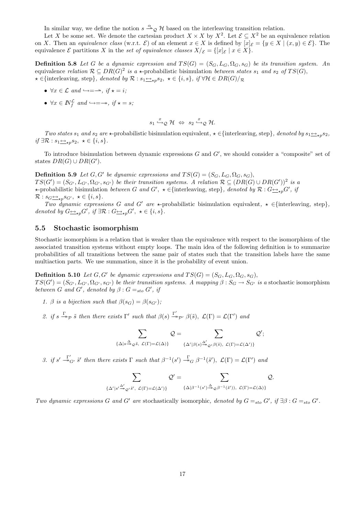In similar way, we define the notion  $s \stackrel{\alpha}{\longrightarrow}_\mathcal{Q} \mathcal{H}$  based on the interleaving transition relation.

Let X be some set. We denote the cartesian product  $X \times X$  by  $X^2$ . Let  $\mathcal{E} \subseteq X^2$  be an equivalence relation on X. Then an equivalence class (w.r.t.  $\mathcal{E}$ ) of an element  $x \in X$  is defined by  $[x]_{\mathcal{E}} = \{y \in X \mid (x, y) \in \mathcal{E}\}\.$  The equivalence  $\mathcal E$  partitions X in the set of equivalence classes  $X/\mathcal E = \{[x]_{\mathcal E} \mid x \in X\}.$ 

**Definition 5.8** Let G be a dynamic expression and  $TS(G) = (S_G, L_G, \Omega_G, s_G)$  be its transition system. An equivalence relation  $\mathcal{R} \subseteq DR(G)^2$  is a  $\star$ -probabilistic bisimulation between states  $s_1$  and  $s_2$  of  $TS(G)$ ,  $\star \in \{\text{interleaving, step}\},$  denoted by  $\mathcal{R}: s_1 \rightarrow_{\star p} s_2, \star \in \{i, s\}, \text{ if } \forall \mathcal{H} \in DR(G)/\mathcal{R}$ 

- $\forall x \in \mathcal{L} \text{ and } \hookrightarrow = \rightarrow, \text{ if } \star = i;$
- $\forall x \in \mathbb{N}_f^{\mathcal{L}}$  and  $\hookrightarrow = \rightarrow$ , if  $\star = s$ ;

$$
s_1 \xrightarrow{x} \mathcal{Q} \mathcal{H} \Leftrightarrow s_2 \xrightarrow{x} \mathcal{Q} \mathcal{H}.
$$

Two states  $s_1$  and  $s_2$  are  $\star$ -probabilistic bisimulation equivalent,  $\star \in \{\text{interleaving, step}\}\,$ , denoted by  $s_1 \leftrightarrow_{\star} s_2$ , if ∃R :  $s_1 \underline{\leftrightarrow}_p s_2, \star \in \{i, s\}.$ 

To introduce bisimulation between dynamic expressions  $G$  and  $G'$ , we should consider a "composite" set of states  $DR(G) \cup DR(G')$ .

**Definition 5.9** Let  $G, G'$  be dynamic expressions and  $TS(G) = (S_G, L_G, \Omega_G, s_G)$ ,  $TS(G') = (S_{G'}, L_{G'}, \Omega_{G'}, s_{G'})$  be their transition systems. A relation  $\mathcal{R} \subseteq (DR(G) \cup DR(G'))^2$  is a  $\star$ -probabilistic bisimulation *between* G and G',  $\star \in$ {interleaving, step}, denoted by R : G<sub>→p</sub>G', if  $\mathcal{R}: s_G \leftrightarrow_{\star p} s_{G'}, \ \star \in \{i, s\}.$ 

Two dynamic expressions G and G' are  $\star$ -probabilistic bisimulation equivalent,  $\star \in$ {interleaving, step}, denoted by  $G \underline{\leftrightarrow}_{\star p} G'$ , if  $\exists \mathcal{R} : G \underline{\leftrightarrow}_{\star p} G'$ ,  $\star \in \{i, s\}.$ 

#### 5.5 Stochastic isomorphism

Stochastic isomorphism is a relation that is weaker than the equivalence with respect to the isomorphism of the associated transition systems without empty loops. The main idea of the following definition is to summarize probabilities of all transitions between the same pair of states such that the transition labels have the same multiaction parts. We use summation, since it is the probability of event union.

**Definition 5.10** Let  $G, G'$  be dynamic expressions and  $TS(G) = (S_G, L_G, \Omega_G, s_G)$ ,  $TS(G') = (S_{G'}, L_{G'}, \Omega_{G'}, s_{G'})$  be their transition systems. A mapping  $\beta : S_G \to S_{G'}$  is a stochastic isomorphism between G and G', denoted by  $\beta$ :  $G =_{sto} G'$ , if

- 1. β is a bijection such that  $\beta(s_G) = \beta(s_{G'})$ ;
- 2. if  $s \xrightarrow{\Gamma} \tilde{s}$  then there exists  $\Gamma'$  such that  $\beta(s) \xrightarrow{\Gamma'} \beta(\tilde{s}), \mathcal{L}(\Gamma) = \mathcal{L}(\Gamma')$  and

$$
\sum_{\{\Delta|s\stackrel{\Delta}{\twoheadrightarrow}_{\mathcal{Q}}\tilde{s},\ \mathcal{L}(\Gamma)=\mathcal{L}(\Delta)\}}\mathcal{Q}=\sum_{\{\Delta'|\beta(s)\stackrel{\Delta'}{\twoheadrightarrow}_{\mathcal{Q}'}\beta(\tilde{s}),\ \mathcal{L}(\Gamma)=\mathcal{L}(\Delta')\}}\mathcal{Q}';
$$

3. if  $s' \stackrel{\Gamma'}{\twoheadrightarrow} S'$  then there exists  $\Gamma$  such that  $\beta^{-1}(s') \stackrel{\Gamma}{\twoheadrightarrow} G \beta^{-1}(\tilde{s}')$ ,  $\mathcal{L}(\Gamma) = \mathcal{L}(\Gamma')$  and

$$
\sum_{\{\Delta' \mid s' \xrightarrow{\Delta'}_{\varphi}} \varrho' \tilde{s}', \ \mathcal{L}(\Gamma) = \mathcal{L}(\Delta')\}} \mathcal{Q}' = \sum_{\{\Delta \mid \beta^{-1}(s') \xrightarrow{\Delta} \varrho \beta^{-1}(\tilde{s}')), \ \mathcal{L}(\Gamma) = \mathcal{L}(\Delta)\}} \mathcal{Q}.
$$

Two dynamic expressions G and G' are stochastically isomorphic, denoted by  $G =_{sto} G'$ , if  $\exists \beta : G =_{sto} G'$ .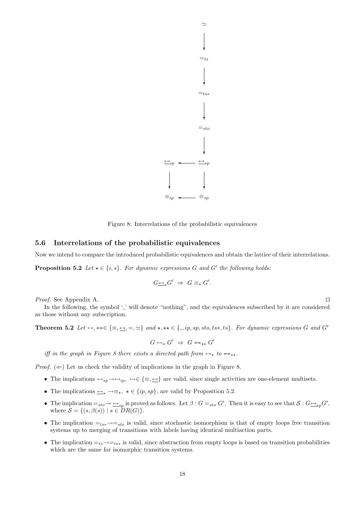

Figure 8: Interrelations of the probabilistic equivalences

#### 5.6 Interrelations of the probabilistic equivalences

Now we intend to compare the introduced probabilistic equivalences and obtain the lattice of their interrelations.

**Proposition 5.2** Let  $\star \in \{i, s\}$ . For dynamic expressions G and G' the following holds:

$$
G\underline{\leftrightarrow}_\star G'\ \Rightarrow\ G\equiv_\star G'.
$$

*Proof.* See Appendix A.  $\Box$ 

In the following, the symbol '.' will denote "nothing", and the equivalences subscribed by it are considered as those without any subscription.

Theorem 5.2 Let  $\leftrightarrow$ ,  $\leftrightarrow \in \{\equiv, \underline{\leftrightarrow}, \equiv, \simeq\}$  and  $\star$ ,  $\star \star \in \{., ip, sp, sto, ts*, ts\}$ . For dynamic expressions G and G'

 $G \leftrightarrow_{\star} G' \Rightarrow G \leftrightarrow_{\star \star} G'$ 

iff in the graph in Figure 8 there exists a directed path from  $\leftrightarrow_{\star}$  to  $\leftrightarrow_{\star\star}$ .

*Proof.*  $(\Leftarrow)$  Let us check the validity of implications in the graph in Figure 8.

- The implications  $\leftrightarrow_{sp} \rightarrow \leftrightarrow_{ip} \leftrightarrow \in \{\equiv, \leftrightarrow\}$  are valid, since single activities are one-element multisets.
- The implications  $\overline{\Leftrightarrow} \rightarrow \equiv_{\star}, \star \in \{ip, sp\}$ , are valid by Proposition 5.2.
- The implication  $=_{sto} \rightarrow \underline{\leftrightarrow}_{sp}$  is proved as follows. Let  $\beta : G =_{sto} G'$ . Then it is easy to see that  $S : G \underline{\leftrightarrow}_{sp} G'$ , where  $S = \{(s, \beta(s)) \mid s \in DR(G)\}.$
- The implication  $=t_{ss} \rightarrow t_{sto}$  is valid, since stochastic isomorphism is that of empty loops free transition systems up to merging of transitions with labels having identical multiaction parts.
- The implication  $=t_s\rightarrow=t_{ts*}$  is valid, since abstraction from empty loops is based on transition probabilities which are the same for isomorphic transition systems.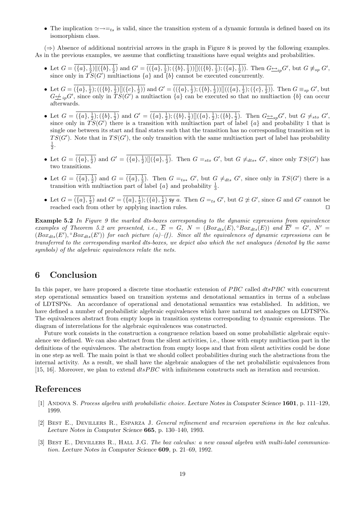• The implication  $\approx \rightarrow =_{ts}$  is valid, since the transition system of a dynamic formula is defined based on its isomorphism class.

 $(\Rightarrow)$  Absence of additional nontrivial arrows in the graph in Figure 8 is proved by the following examples. As in the previous examples, we assume that conflicting transitions have equal weights and probabilities.

- Let  $G = \overline{(\{a\}, \frac{1}{2}) \| (\{b\}, \frac{1}{2})}$  and  $G' = \overline{((\{a\}, \frac{1}{2}); (\{b\}, \frac{1}{2})) ] ((\{b\}, \frac{1}{2}); (\{a\}, \frac{1}{2}))}$ . Then  $G \underline{\leftrightarrow}_{ip} G'$ , but  $G \not\equiv_{sp} G'$ , since only in  $TS(G')$  multiactions  $\{a\}$  and  $\{b\}$  cannot be executed concurrently.
- Let  $G = \overline{(\{a\}, \frac{1}{2})$ ;  $((\{b\}, \frac{1}{2}) \mathbb{I}(\{c\}, \frac{1}{2}))}$  and  $G' = \overline{((\{a\}, \frac{1}{2})$ ;  $(\{b\}, \frac{1}{2})) \mathbb{I}((\{a\}, \frac{1}{2})$ ;  $(\{c\}, \frac{1}{2}))$ . Then  $G \equiv_{sp} G'$ , but  $G \nleq_{i,p} G'$ , since only in  $TS(G')$  a multiaction  $\{a\}$  can be executed so that no multiaction  $\{b\}$  can occur afterwards.
- Let  $G = \overline{(\{a\}, \frac{1}{2})$ ;  $(\{b\}, \frac{1}{2})}$  and  $G' = \overline{(\{a\}, \frac{1}{2})$ ;  $(\{b\}, \frac{1}{2})$ ] $(\{a\}, \frac{1}{2})$ ;  $(\{b\}, \frac{1}{2})$ . Then  $G \nightharpoonup_{sp} G'$ , but  $G \neq_{sto} G'$ , since only in  $TS(G')$  there is a transition with multiaction part of label  $\{a\}$  and probability 1 that is single one between its start and final states such that the transition has no corresponding transition set in  $TS(G')$ . Note that in  $TS(G')$ , the only transition with the same multiaction part of label has probability  $\frac{1}{2}$ .
- Let  $G = \overline{(\lbrace a \rbrace, \frac{1}{2})}$  and  $G' = \overline{(\lbrace a \rbrace, \frac{1}{2})} \left[ \left[ \lbrace a \rbrace, \frac{1}{2} \right] \right]$ . Then  $G =_{sto} G'$ , but  $G \neq_{dts*} G'$ , since only  $TS(G')$  has two transitions.
- Let  $G = \overline{(\{a\}, \frac{1}{2})}$  and  $G = \overline{(\{a\}, \frac{1}{3})}$ . Then  $G =_{ts*} G'$ , but  $G \neq_{dts} G'$ , since only in  $TS(G')$  there is a transition with multiaction part of label  $\{a\}$  and probability  $\frac{1}{3}$ .
- Let  $G = \overline{(\lbrace a \rbrace, \frac{1}{2})}$  and  $G' = \overline{(\lbrace a \rbrace, \frac{1}{2})}$ ;  $(\lbrace \hat{a} \rbrace, \frac{1}{2})$  sy a. Then  $G =_{ts} G'$ , but  $G \not\simeq G'$ , since G and G' cannot be reached each from other by applying inaction rules.  $\Box$

**Example 5.2** In Figure 9 the marked dts-boxes corresponding to the dynamic expressions from equivalence examples of Theorem 5.2 are presented, i.e.,  $\overline{E} = G$ ,  $N = (Box_{dts}(E), \degree Box_{dts}(E))$  and  $\overline{E'} = G'$ ,  $N' =$  $(Box_{dts}(E'), \degree Box_{dts}(E'))$  for each picture (a)–(f). Since all the equivalences of dynamic expressions can be transferred to the corresponding marked dts-boxes, we depict also which the net analogues (denoted by the same symbols) of the algebraic equivalences relate the nets.

## 6 Conclusion

In this paper, we have proposed a discrete time stochastic extension of  $PBC$  called  $dtsPBC$  with concurrent step operational semantics based on transition systems and denotational semantics in terms of a subclass of LDTSPNs. An accordance of operational and denotational semantics was established. In addition, we have defined a number of probabilistic algebraic equivalences which have natural net analogues on LDTSPNs. The equivalences abstract from empty loops in transition systems corresponding to dynamic expressions. The diagram of interrelations for the algebraic equivalences was constructed.

Future work consists in the construction a congruence relation based on some probabilistic algebraic equivalence we defined. We can also abstract from the silent activities, i.e., those with empty multiaction part in the definitions of the equivalences. The abstraction from empty loops and that from silent activities could be done in one step as well. The main point is that we should collect probabilities during such the abstractions from the internal activity. As a result, we shall have the algebraic analogues of the net probabilistic equivalences from [15, 16]. Moreover, we plan to extend  $dt s P B C$  with infiniteness constructs such as iteration and recursion.

### References

- [1] ANDOVA S. Process algebra with probabilistic choice. Lecture Notes in Computer Science 1601, p. 111–129, 1999.
- [2] Best E., Devillers R., Esparza J. General refinement and recursion operations in the box calculus. Lecture Notes in Computer Science 665, p. 130–140, 1993.
- [3] BEST E., DEVILLERS R., HALL J.G. The box calculus: a new causal algebra with multi-label communication. Lecture Notes in Computer Science 609, p. 21–69, 1992.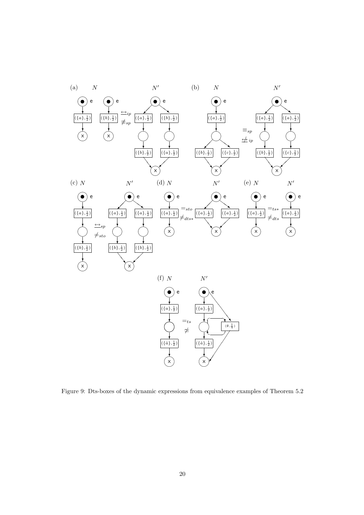

Figure 9: Dts-boxes of the dynamic expressions from equivalence examples of Theorem 5.2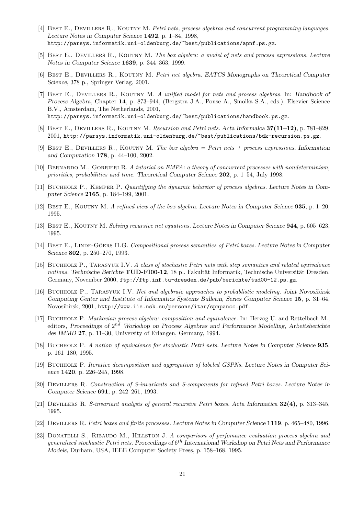- [4] BEST E., DEVILLERS R., KOUTNY M. Petri nets, process algebras and concurrent programming languages. Lecture Notes in Computer Science 1492, p. 1–84, 1998, http://parsys.informatik.uni-oldenburg.de/~best/publications/apnf.ps.gz.
- [5] BEST E., DEVILLERS R., KOUTNY M. The box algebra: a model of nets and process expressions. Lecture Notes in Computer Science 1639, p. 344–363, 1999.
- [6] BEST E., DEVILLERS R., KOUTNY M. Petri net algebra. EATCS Monographs on Theoretical Computer Science, 378 p., Springer Verlag, 2001.
- [7] BEST E., DEVILLERS R., KOUTNY M. A unified model for nets and process algebras. In: Handbook of Process Algebra, Chapter 14, p. 873–944, (Bergstra J.A., Ponse A., Smolka S.A., eds.), Elsevier Science B.V., Amsterdam, The Netherlands, 2001, http://parsys.informatik.uni-oldenburg.de/~best/publications/handbook.ps.gz.
- [8] BEST E., DEVILLERS R., KOUTNY M. Recursion and Petri nets. Acta Informaica  $37(11-12)$ , p. 781–829, 2001, http://parsys.informatik.uni-oldenburg.de/~best/publications/bdk-recursion.ps.gz.
- [9] BEST E., DEVILLERS R., KOUTNY M. The box algebra = Petri nets + process expressions. Information and Computation 178, p. 44–100, 2002.
- [10] BERNARDO M., GORRIERI R. A tutorial on EMPA: a theory of concurrent processes with nondeterminism, priorities, probabilities and time. Theoretical Computer Science 202, p. 1–54, July 1998.
- [11] BUCHHOLZ P., KEMPER P. Quantifying the dynamic behavior of process algebras. Lecture Notes in Computer Science 2165, p. 184–199, 2001.
- [12] Best E., Koutny M. A refined view of the box algebra. Lecture Notes in Computer Science 935, p. 1–20, 1995.
- [13] Best E., Koutny M. Solving recursive net equations. Lecture Notes in Computer Science 944, p. 605–623, 1995.
- [14] BEST E., LINDE-GÖERS H.G. Compositional process semantics of Petri boxes. Lecture Notes in Computer Science 802, p. 250–270, 1993.
- [15] Buchholz P., Tarasyuk I.V. A class of stochastic Petri nets with step semantics and related equivalence notions. Technische Berichte TUD-FI00-12, 18 p., Fakultät Informatik, Technische Universität Dresden, Germany, November 2000, ftp://ftp.inf.tu-dresden.de/pub/berichte/tud00-12.ps.gz.
- [16] Buchholz P., Tarasyuk I.V. Net and algebraic approaches to probablistic modeling. Joint Novosibirsk Computing Center and Institute of Informatics Systems Bulletin, Series Computer Science 15, p. 31–64, Novosibirsk, 2001, http://www.iis.nsk.su/persons/itar/spnpancc.pdf.
- [17] Buchholz P. Markovian process algebra: composition and equivalence. In: Herzog U. and Rettelbach M., editors, Proceedings of 2<sup>nd</sup> Workshop on Process Algebras and Performance Modelling, Arbeitsberichte des IMMD 27, p. 11–30, University of Erlangen, Germany, 1994.
- [18] Buchholz P. A notion of equivalence for stochastic Petri nets. Lecture Notes in Computer Science 935, p. 161–180, 1995.
- [19] Buchholz P. Iterative decomposition and aggregation of labeled GSPNs. Lecture Notes in Computer Science 1420, p. 226–245, 1998.
- [20] Devillers R. Construction of S-invariants and S-components for refined Petri boxes. Lecture Notes in Computer Science 691, p. 242–261, 1993.
- [21] Devillers R. S-invariant analysis of general recursive Petri boxes. Acta Informatica 32(4), p. 313–345, 1995.
- [22] Devillers R. Petri boxes and finite processes. Lecture Notes in Computer Science 1119, p. 465–480, 1996.
- [23] DONATELLI S., RIBAUDO M., HILLSTON J. A comparison of perfomance evaluation process algebra and generalized stochastic Petri nets. Proceedings of  $6^{th}$  International Workshop on Petri Nets and Performance Models, Durham, USA, IEEE Computer Society Press, p. 158–168, 1995.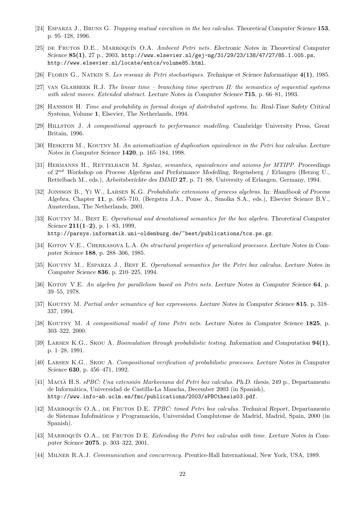- [24] Esparza J., Bruns G. Trapping mutual execution in the box calculus. Theoretical Computer Science 153, p. 95–128, 1996.
- [25] DE FRUTOS D.E., MARROQUÍN O.A. *Ambient Petri nets. Electronic Notes in Theoretical Computer* Science 85(1), 27 p., 2003, http://www.elsevier.nl/gej-ng/31/29/23/138/47/27/85.1.005.ps, http://www.elsevier.nl/locate/entcs/volume85.html.
- [26] Florin G., Natkin S. Les reseaux de Petri stochastiques. Technique et Science Informatique 4(1), 1985.
- $[27]$  VAN GLABBEEK R.J. The linear time branching time spectrum II: the semantics of sequential systems with silent moves. Extended abstract. Lecture Notes in Computer Science 715, p. 66–81, 1993.
- [28] Hansson H. Time and probability in formal design of distributed systems. In: Real-Time Safety Critical Systems, Volume 1, Elsevier, The Netherlands, 1994.
- [29] Hillston J. A compositional approach to performance modelling. Cambridge University Press, Great Britain, 1996.
- [30] HESKETH M., KOUTNY M. An axiomatization of duplication equivalence in the Petri box calculus. Lecture Notes in Computer Science 1420, p. 165–184, 1998.
- [31] HERMANNS H., RETTELBACH M. Syntax, semantics, equivalences and axioms for MTIPP. Proceedings of  $2^{nd}$  Workshop on Process Algebras and Performance Modelling, Regensberg / Erlangen (Herzog U., Rettelbach M., eds.), Arbeitsberichte des IMMD 27, p. 71–88, University of Erlangen, Germany, 1994.
- [32] JONSSON B., YI W., LARSEN K.G. Probabilistic extensions of process algebras. In: Handbook of Process Algebra, Chapter 11, p. 685–710, (Bergstra J.A., Ponse A., Smolka S.A., eds.), Elsevier Science B.V., Amsterdam, The Netherlands, 2001.
- [33] KOUTNY M., BEST E. Operational and denotational semantics for the box algebra. Theoretical Computer Science  $211(1-2)$ , p. 1–83, 1999, http://parsys.informatik.uni-oldenburg.de/~best/publications/tcs.ps.gz.
- [34] KOTOV V.E., CHERKASOVA L.A. On structural properties of generalized processes. Lecture Notes in Computer Science 188, p. 288–306, 1985.
- [35] KOUTNY M., ESPARZA J., BEST E. Operational semantics for the Petri box calculus. Lecture Notes in Computer Science 836, p. 210–225, 1994.
- [36] KOTOV V.E. An algebra for parallelism based on Petri nets. Lecture Notes in Computer Science 64, p. 39–55, 1978.
- [37] KOUTNY M. Partial order semantics of box expressions. Lecture Notes in Computer Science 815, p. 318– 337, 1994.
- [38] KOUTNY M. A compositional model of time Petri nets. Lecture Notes in Computer Science 1825, p. 303–322, 2000.
- [39] Larsen K.G., Skou A. Bisimulation through probabilistic testing. Information and Computation 94(1), p. 1–28, 1991.
- [40] Larsen K.G., Skou A. Compositional verification of probabilistic processes. Lecture Notes in Computer Science 630, p. 456–471, 1992.
- [41] MACIÀ H.S. *sPBC: Una extensión Markoviana del Petri box calculus. Ph.D. thesis*, 249 p., Departamento de Inform´atica, Universidad de Castilla-La Mancha, December 2003 (in Spanish), http://www.info-ab.uclm.es/fmc/publications/2003/sPBCthesis03.pdf.
- [42] MARROQUÍN O.A., DE FRUTOS D.E. TPBC: timed Petri box calculus. Technical Report, Departamento de Sistemas Infofmáticos y Programación, Universidad Complutense de Madrid, Madrid, Spain, 2000 (in Spanish).
- [43] MARROQUÍN O.A., DE FRUTOS D.E. Extending the Petri box calculus with time. Lecture Notes in Computer Science 2075, p. 303–322, 2001.
- [44] Milner R.A.J. Communication and concurrency. Prentice-Hall International, New York, USA, 1989.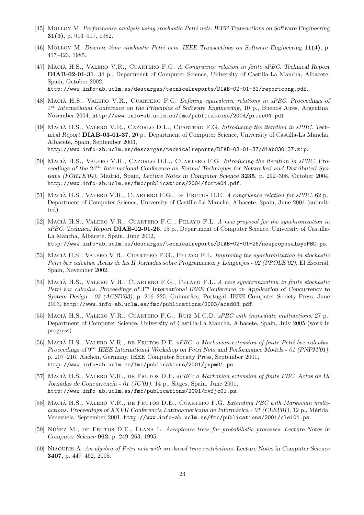- [45] Molloy M. Performance analysis using stochastic Petri nets. IEEE Transactions on Software Engineering 31(9), p. 913–917, 1982.
- [46] Molloy M. Discrete time stochastic Petri nets. IEEE Transactions on Software Engineering 11(4), p. 417–423, 1985.
- [47] MACIÀ H.S., VALERO V.R., CUARTERO F.G. A Congruence relation in finite sPBC. Technical Report DIAB-02-01-31, 34 p., Department of Computer Science, University of Castilla-La Mancha, Albacete, Spain, October 2002, http://www.info-ab.uclm.es/descargas/tecnicalreports/DIAB-02-01-31/reportcong.pdf.
- [48] MACIÀ H.S., VALERO V.R., CUARTERO F.G. Defining equivalence relations in sPBC. Proceedings of 1<sup>st</sup> International Conference on the Principles of Software Engineering, 10 p., Buenos Aires, Argentina, November 2004, http://www.info-ab.uclm.es/fmc/publications/2004/prise04.pdf.
- [49] MACIÀ H.S., VALERO V.R., CAZORLO D.L., CUARTERO F.G. Introducing the iteration in sPBC. Technical Report DIAB-03-01-37, 20 p., Department of Computer Science, University of Castilla-La Mancha, Albacete, Spain, September 2003, http://www.info-ab.uclm.es/descargas/tecnicalreports/DIAB-03-01-37/diab030137.zip.
- [50] MACIÀ H.S., VALERO V.R., CAZORLO D.L., CUARTERO F.G. Introducing the iteration in sPBC. Proceedings of the 24th International Conference on Formal Techniques for Networked and Distributed Systems (FORTE'04), Madrid, Spain, Lecture Notes in Computer Science 3235, p. 292–308, October 2004, http://www.info-ab.uclm.es/fmc/publications/2004/forte04.pdf.
- [51] MACIÀ H.S., VALERO V.R., CUARTERO F.G., DE FRUTOS D.E. A congruence relation for sPBC. 62 p., Department of Computer Science, University of Castilla-La Mancha, Albacete, Spain, June 2004 (submitted).
- [52] MACIÀ H.S., VALERO V.R., CUARTERO F.G., PELAYO F.L. A new proposal for the synchronization in sPBC. Technical Report DIAB-02-01-26, 15 p., Department of Computer Science, University of Castilla-La Mancha, Albacete, Spain, June 2002, http://www.info-ab.uclm.es/descargas/tecnicalreports/DIAB-02-01-26/newproposalsysPBC.ps.
- [53] MACIÀ H.S., VALERO V.R., CUARTERO F.G., PELAYO F.L. Improving the synchronization in stochastic Petri box calculus. Actas de las II Jornadas sobre Programacion y Lenguajes - 02 (PROLE'02), El Escorial, Spain, November 2002.
- [54] MACIÀ H.S., VALERO V.R., CUARTERO F.G., PELAYO F.L. A new synchronization in finite stochastic Petri box calculus. Proceedings of  $3^{rd}$  International IEEE Conference on Application of Concurrency to System Design - 03 (ACSD'03), p. 216–225, Guimarães, Portugal, IEEE Computer Society Press, June 2003, http://www.info-ab.uclm.es/fmc/publications/2003/acsd03.pdf.
- [55] MACIÀ H.S., VALERO V.R., CUARTERO F.G., RUIZ M.C.D.  $sPBC$  with immediate multiactions. 27 p., Department of Computer Science, University of Castilla-La Mancha, Albacete, Spain, July 2005 (work in progress).
- [56] MACIÀ H.S., VALERO V.R., DE FRUTOS D.E. sPBC: a Markovian extension of finite Petri box calculus. Proceedings of  $9^{th}$  IEEE International Workshop on Petri Nets and Performance Models - 01 (PNPM'01), p. 207–216, Aachen, Germany, IEEE Computer Society Press, September 2001, http://www.info-ab.uclm.es/fmc/publications/2001/pnpm01.ps.
- [57] MACIÀ H.S., VALERO V.R., DE FRUTOS D.E. sPBC: a Markovian extension of finite PBC. Actas de IX Jornadas de Concurrencia - 01 (JC'01), 14 p., Sitges, Spain, June 2001, http://www.info-ab.uclm.es/fmc/publications/2001/mvfjc01.ps.
- [58] MACIÀ H.S., VALERO V.R., DE FRUTOS D.E., CUARTERO F.G. Extending PBC with Markovian multiactions. Proceedings of XXVII Conferencia Latinoamericana de Informática - 01 (CLEI'01), 12 p., Mérida, Venezuela, September 2001, http://www.info-ab.uclm.es/fmc/publications/2001/clei01.ps.
- [59] NÚÑEZ M., DE FRUTOS D.E., LLANA L. Acceptance trees for probabilistic processes. Lecture Notes in Computer Science 962, p. 249–263, 1995.
- [60] Niaouris A. An algebra of Petri nets with arc-based time restrictions. Lecture Notes in Computer Science 3407, p. 447–462, 2005.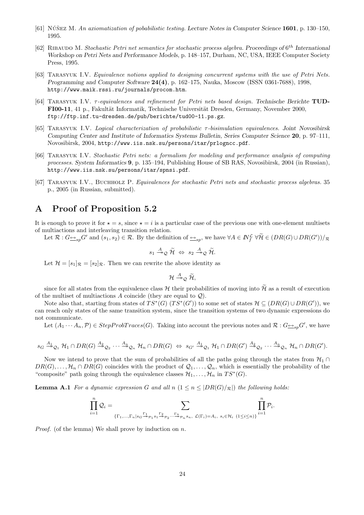- [61] NÚÑEZ M. An axiomatization of pobabilistic testing. Lecture Notes in Computer Science 1601, p. 130–150, 1995.
- [62] RIBAUDO M. Stochastic Petri net semantics for stochastic process algebra. Proceedings of  $6^{th}$  International Workshop on Petri Nets and Performance Models, p. 148–157, Durham, NC, USA, IEEE Computer Society Press, 1995.
- [63] Tarasyuk I.V. Equivalence notions applied to designing concurrent systems with the use of Petri Nets. Programming and Computer Software 24(4), p. 162–175, Nauka, Moscow (ISSN 0361-7688), 1998, http://www.maik.rssi.ru/journals/procom.htm.
- [64] TARASYUK I.V.  $\tau$ -equivalences and refinement for Petri nets based design. Technische Berichte TUD-FI00-11, 41 p., Fakultät Informatik, Technische Universität Dresden, Germany, November 2000, ftp://ftp.inf.tu-dresden.de/pub/berichte/tud00-11.ps.gz.
- [65] TARASYUK I.V. Logical characterization of probabilistic  $\tau$ -bisimulation equivalences. Joint Novosibirsk Computing Center and Institute of Informatics Systems Bulletin, Series Computer Science 20, p. 97–111, Novosibirsk, 2004, http://www.iis.nsk.su/persons/itar/prlogncc.pdf.
- [66] TARASYUK I.V. Stochastic Petri nets: a formalism for modeling and performance analysis of computing processes. System Informatics 9, p. 135–194, Publishing House of SB RAS, Novosibirsk, 2004 (in Russian), http://www.iis.nsk.su/persons/itar/spnsi.pdf.
- [67] TARASYUK I.V., BUCHHOLZ P. Equivalences for stochastic Petri nets and stochastic process algebras. 35 p., 2005 (in Russian, submitted).

## A Proof of Proposition 5.2

It is enough to prove it for  $\star = s$ , since  $\star = i$  is a particular case of the previous one with one-element multisets of multiactions and interleaving transition relation.

Let  $\mathcal{R}: G \rightarrowtail_{sp} G'$  and  $(s_1, s_2) \in \mathcal{R}$ . By the definition of  $\rightarrowtail_{sp}$ , we have  $\forall A \in \mathbb{N}_f^{\mathcal{L}} \ \forall \widetilde{\mathcal{H}} \in (DR(G) \cup DR(G'))/\mathcal{R}$ 

$$
s_1 \stackrel{A}{\twoheadrightarrow} _{\mathcal{Q}} \widetilde{\mathcal{H}} \; \Leftrightarrow \; s_2 \stackrel{A}{\twoheadrightarrow} _{\mathcal{Q}} \widetilde{\mathcal{H}}.
$$

Let  $\mathcal{H} = [s_1]_{\mathcal{R}} = [s_2]_{\mathcal{R}}$ . Then we can rewrite the above identity as

$$
\mathcal{H} \stackrel{A}{\twoheadrightarrow}_{\mathcal{Q}} \widetilde{\mathcal{H}},
$$

since for all states from the equivalence class H their probabilities of moving into  $\tilde{\mathcal{H}}$  as a result of execution of the multiset of multiactions A coincide (they are equal to  $\mathcal{Q}$ ).

Note also that, starting from states of  $TS^*(G)(TS^*(G'))$  to some set of states  $\mathcal{H} \subseteq (DR(G) \cup DR(G'))$ , we can reach only states of the same transition system, since the transition systems of two dynamic expressions do not communicate.

Let  $(A_1 \cdots A_n, \mathcal{P}) \in StepProbTrace(G)$ . Taking into account the previous notes and  $\mathcal{R}: G \rightarrow Sp} G'$ , we have

$$
s_G \stackrel{A_1}{\twoheadrightarrow} \mathcal{Q}_1 \mathcal{H}_1 \cap DR(G) \stackrel{A_2}{\twoheadrightarrow} \mathcal{Q}_2 \cdots \stackrel{A_n}{\twoheadrightarrow} \mathcal{Q}_n \mathcal{H}_n \cap DR(G) \Leftrightarrow s_{G'} \stackrel{A_1}{\twoheadrightarrow} \mathcal{Q}_1 \mathcal{H}_1 \cap DR(G') \stackrel{A_2}{\twoheadrightarrow} \mathcal{Q}_2 \cdots \stackrel{A_n}{\twoheadrightarrow} \mathcal{Q}_n \mathcal{H}_n \cap DR(G').
$$

Now we intend to prove that the sum of probabilities of all the paths going through the states from  $\mathcal{H}_1 \cap$  $DR(G), \ldots, \mathcal{H}_n \cap DR(G)$  coincides with the product of  $\mathcal{Q}_1, \ldots, \mathcal{Q}_n$ , which is essentially the probability of the "composite" path going through the equivalence classes  $\mathcal{H}_1, \ldots, \mathcal{H}_n$  in  $TS^*(G)$ .

**Lemma A.1** For a dynamic expression G and all  $n (1 \leq n \leq |DR(G)/R|)$  the following holds:

$$
\prod_{i=1}^n\mathcal{Q}_i=\sum_{\{\Gamma_1,\ldots,\Gamma_n\mid s_G\stackrel{\Gamma_1}{\twoheadrightarrow} p_1s_1\stackrel{\Gamma_2}{\twoheadrightarrow} p_2\cdots\stackrel{\Gamma_n}{\twoheadrightarrow} p_n s_n,\ \mathcal{L}(\Gamma_i)=A_i,\ s_i\in \mathcal{H}_i}\ \prod_{(1\leq i\leq n)\}^n\mathcal{P}_i.
$$

*Proof.* (of the lemma) We shall prove by induction on  $n$ .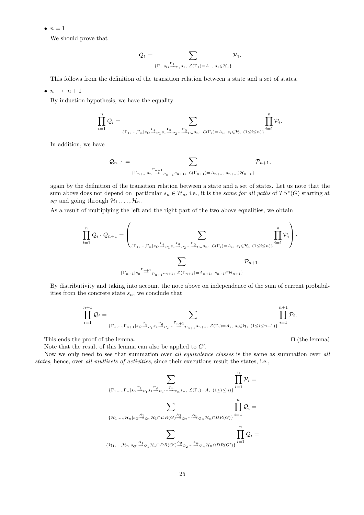$\bullet$   $n=1$ 

We should prove that

$$
\mathcal{Q}_1 = \sum_{\{\Gamma_1|s_G\stackrel{\Gamma_1}{\twoheadrightarrow} \mathcal{P}_1 s_1, \ \mathcal{L}(\Gamma_1)=A_1, \ s_1\in\mathcal{H}_1\}} \mathcal{P}_1.
$$

This follows from the definition of the transition relation between a state and a set of states.

 $\bullet$   $n \rightarrow n+1$ 

By induction hypothesis, we have the equality

$$
\prod_{i=1}^n\mathcal{Q}_i=\sum_{\{\Gamma_1,\ldots,\Gamma_n\mid s_G\overset{\Gamma_1}{\twoheadrightarrow} \mathcal{P}_1\circ 1\overset{\Gamma_2}{\twoheadrightarrow}\mathcal{P}_2\cdots\overset{\Gamma_n}{\twoheadrightarrow} \mathcal{P}_n s_n,\ \mathcal{L}(\Gamma_i)=A_i,\ s_i\in\mathcal{H}_i\ (1\leq i\leq n)\}}\prod_{i=1}^n\mathcal{P}_i.
$$

In addition, we have

$$
\mathcal{Q}_{n+1} = \sum_{\{\Gamma_{n+1}|s_n\stackrel{\Gamma_{n+1}}{\twoheadrightarrow} \mathcal{P}_{n+1}, s_{n+1}, \ \mathcal{L}(\Gamma_{n+1}) = A_{n+1}, \ s_{n+1} \in \mathcal{H}_{n+1}\}} \mathcal{P}_{n+1},
$$

again by the definition of the transition relation between a state and a set of states. Let us note that the sum above does not depend on particular  $s_n \in \mathcal{H}_n$ , i.e., it is the same for all paths of  $TS^*(G)$  starting at  $s_G$  and going through  $\mathcal{H}_1, \ldots, \mathcal{H}_n$ .

As a result of multiplying the left and the right part of the two above equalities, we obtain

$$
\prod_{i=1}^{n} \mathcal{Q}_{i} \cdot \mathcal{Q}_{n+1} = \left(\sum_{\{\Gamma_{1},\ldots,\Gamma_{n} | s_{G} \stackrel{\Gamma_{1}}{\rightarrow} p_{1} s_{1} \stackrel{\Gamma_{2}}{\rightarrow} p_{2} \ldots \stackrel{\Gamma_{n}}{\rightarrow} p_{n} s_{n}, \ \mathcal{L}(\Gamma_{i}) = A_{i}, \ s_{i} \in \mathcal{H}_{i} \ (1 \leq i \leq n)\}} \prod_{i=1}^{n} \mathcal{P}_{i}\right) \cdot \sum_{\{\Gamma_{n+1} | s_{n} \stackrel{\Gamma_{n+1}}{\rightarrow} p_{n+1} s_{n+1}, \ \mathcal{L}(\Gamma_{n+1}) = A_{n+1}, \ s_{n+1} \in \mathcal{H}_{n+1}\}} \mathcal{P}_{n+1}.
$$

By distributivity and taking into account the note above on independence of the sum of current probabilities from the concrete state  $s_n$ , we conclude that

$$
\prod_{i=1}^{n+1}\mathcal{Q}_i=\prod_{\{\Gamma_1,\ldots,\Gamma_{n+1}|s_G\overset{\Gamma_1}{\twoheadrightarrow} \mathcal{P}_1s_1\overset{\Gamma_2}{\twoheadrightarrow} \mathcal{P}_2\ldots\overset{\Gamma_{n+1}}{\twoheadrightarrow} \mathcal{P}_{n+1}s_{n+1}},\ \mathcal{L}(\Gamma_i)=A_i,\ s_i\in\mathcal{H}_i\ (1\leq i\leq n+1)\}}\prod_{i=1}^{n+1}\mathcal{P}_i.
$$

This ends the proof of the lemma.  $\Box$  (the lemma)

Note that the result of this lemma can also be applied to  $G'$ .

Now we only need to see that summation over all equivalence classes is the same as summation over all states, hence, over all multisets of activities, since their executions result the states, i.e.,

$$
\sum_{\{\Gamma_1,\ldots,\Gamma_n\}_{S_G\overset{\Gamma_1}{\twoheadrightarrow} \mathcal{P}_1}}\sum_{s_1\overset{\Gamma_2}{\twoheadrightarrow} \mathcal{P}_2\cdots\overset{\Gamma_n}{\twoheadrightarrow} \mathcal{P}_n s_n, \ \mathcal{L}(\Gamma_i)=A_i \ (1\leq i\leq n)\}}\prod_{i=1}^n\mathcal{P}_i=\\\sum_{\{\mathcal{H}_1,\ldots,\mathcal{H}_n\}_{S_G\overset{A_1}{\twoheadrightarrow} \mathcal{Q}_1}\mathcal{H}_1\cap DR(G)\overset{A_2}{\twoheadrightarrow} \mathcal{Q}_2\cdots\overset{A_n}{\twoheadrightarrow} \mathcal{Q}_n\mathcal{H}_n\cap DR(G)\}}\prod_{i=1}^n\mathcal{Q}_i=\\\{\mathcal{H}_1,\ldots,\mathcal{H}_n\}_{S_G\overset{A_1}{\twoheadrightarrow} \mathcal{Q}_1}\mathcal{H}_1\cap DR(G')\overset{A_2}{\twoheadrightarrow} \mathcal{Q}_2\cdots\overset{A_n}{\twoheadrightarrow} \mathcal{Q}_n\mathcal{H}_n\cap DR(G')\}}\prod_{i=1}^n\mathcal{Q}_i=
$$